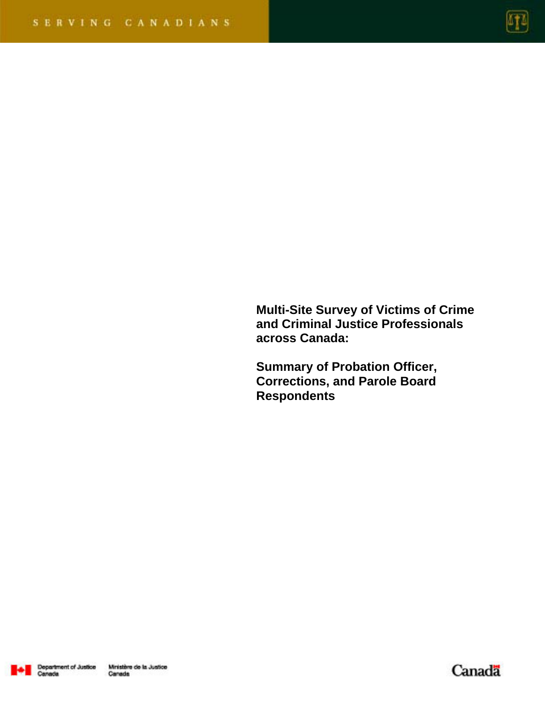

**Multi-Site Survey of Victims of Crime and Criminal Justice Professionals across Canada:** 

**Summary of Probation Officer, Corrections, and Parole Board Respondents** 



Canadä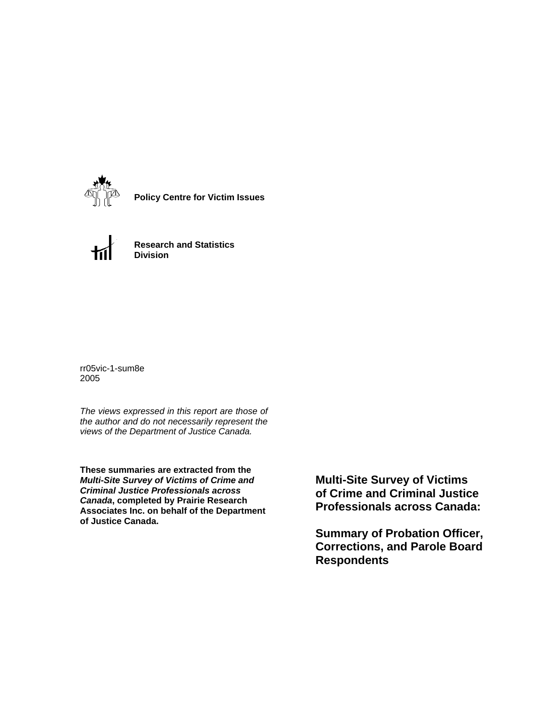

**Policy Centre for Victim Issues**



**Research and Statistics Division**

rr05vic-1-sum8e 2005

*The views expressed in this report are those of the author and do not necessarily represent the views of the Department of Justice Canada.*

**These summaries are extracted from the**  *Multi-Site Survey of Victims of Crime and Criminal Justice Professionals across Canada***, completed by Prairie Research Associates Inc. on behalf of the Department of Justice Canada.**

**Multi-Site Survey of Victims of Crime and Criminal Justice Professionals across Canada:** 

**Summary of Probation Officer, Corrections, and Parole Board Respondents**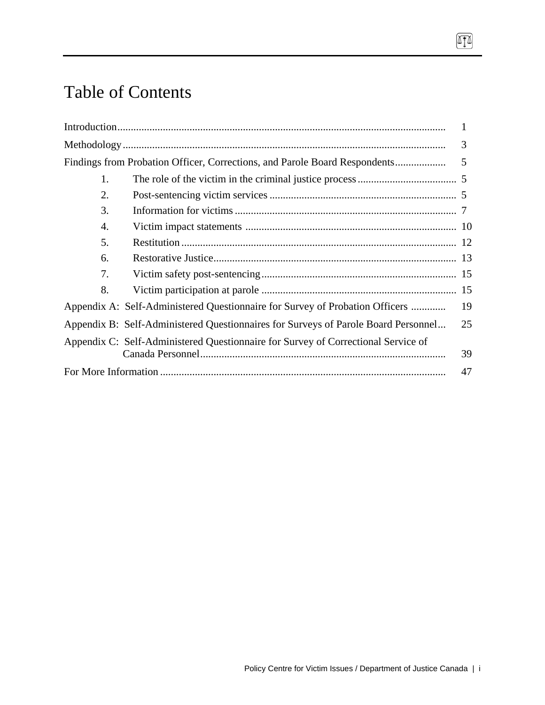# Table of Contents

|    |                                                                                    | 1  |
|----|------------------------------------------------------------------------------------|----|
|    |                                                                                    | 3  |
|    | Findings from Probation Officer, Corrections, and Parole Board Respondents         | 5  |
| 1. |                                                                                    |    |
| 2. |                                                                                    |    |
| 3. |                                                                                    |    |
| 4. |                                                                                    |    |
| 5. |                                                                                    |    |
| 6. |                                                                                    |    |
| 7. |                                                                                    |    |
| 8. |                                                                                    |    |
|    | Appendix A: Self-Administered Questionnaire for Survey of Probation Officers       | 19 |
|    | Appendix B: Self-Administered Questionnaires for Surveys of Parole Board Personnel | 25 |
|    | Appendix C: Self-Administered Questionnaire for Survey of Correctional Service of  |    |
|    |                                                                                    | 39 |
|    |                                                                                    | 47 |

 $\boxed{\text{I}}$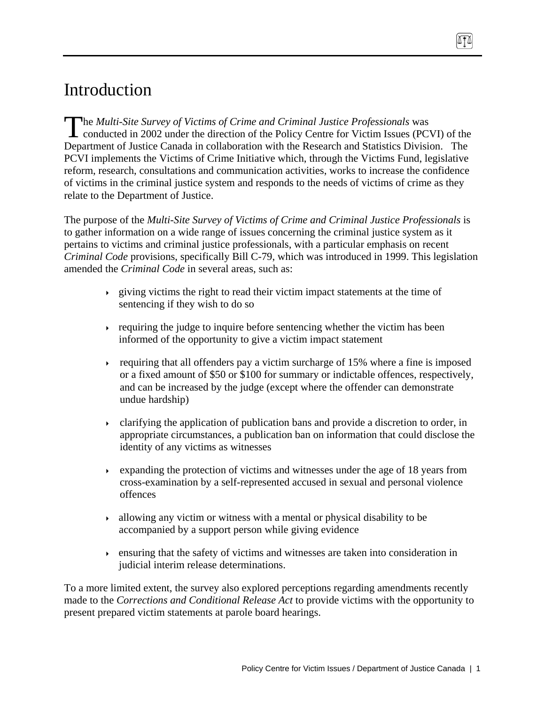# Introduction

he *Multi-Site Survey of Victims of Crime and Criminal Justice Professionals* was The Multi-Site Survey of Victims of Crime and Criminal Justice Professionals was<br>conducted in 2002 under the direction of the Policy Centre for Victim Issues (PCVI) of the Department of Justice Canada in collaboration with the Research and Statistics Division. The PCVI implements the Victims of Crime Initiative which, through the Victims Fund, legislative reform, research, consultations and communication activities, works to increase the confidence of victims in the criminal justice system and responds to the needs of victims of crime as they relate to the Department of Justice.

The purpose of the *Multi-Site Survey of Victims of Crime and Criminal Justice Professionals* is to gather information on a wide range of issues concerning the criminal justice system as it pertains to victims and criminal justice professionals, with a particular emphasis on recent *Criminal Code* provisions, specifically Bill C-79, which was introduced in 1999. This legislation amended the *Criminal Code* in several areas, such as:

- $\rightarrow$  giving victims the right to read their victim impact statements at the time of sentencing if they wish to do so
- requiring the judge to inquire before sentencing whether the victim has been informed of the opportunity to give a victim impact statement
- requiring that all offenders pay a victim surcharge of 15% where a fine is imposed or a fixed amount of \$50 or \$100 for summary or indictable offences, respectively, and can be increased by the judge (except where the offender can demonstrate undue hardship)
- clarifying the application of publication bans and provide a discretion to order, in appropriate circumstances, a publication ban on information that could disclose the identity of any victims as witnesses
- $\rightarrow$  expanding the protection of victims and witnesses under the age of 18 years from cross-examination by a self-represented accused in sexual and personal violence offences
- $\rightarrow$  allowing any victim or witness with a mental or physical disability to be accompanied by a support person while giving evidence
- ensuring that the safety of victims and witnesses are taken into consideration in judicial interim release determinations.

To a more limited extent, the survey also explored perceptions regarding amendments recently made to the *Corrections and Conditional Release Act* to provide victims with the opportunity to present prepared victim statements at parole board hearings.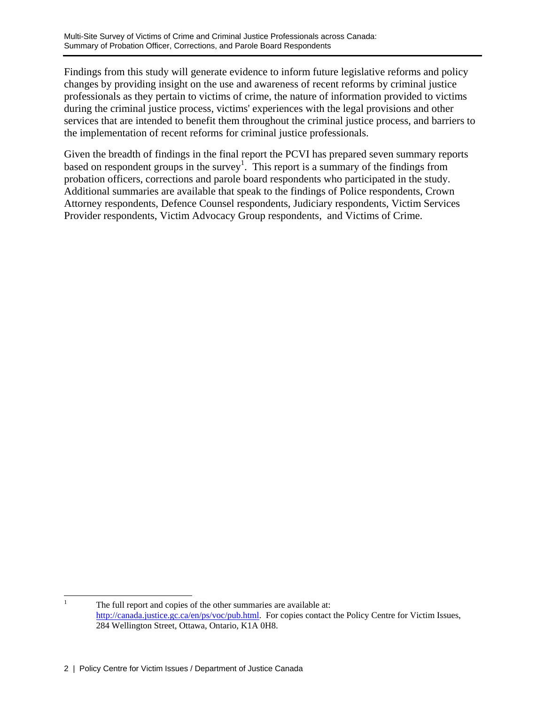Findings from this study will generate evidence to inform future legislative reforms and policy changes by providing insight on the use and awareness of recent reforms by criminal justice professionals as they pertain to victims of crime, the nature of information provided to victims during the criminal justice process, victims' experiences with the legal provisions and other services that are intended to benefit them throughout the criminal justice process, and barriers to the implementation of recent reforms for criminal justice professionals.

Given the breadth of findings in the final report the PCVI has prepared seven summary reports based on respondent groups in the survey<sup>1</sup>. This report is a summary of the findings from probation officers, corrections and parole board respondents who participated in the study. Additional summaries are available that speak to the findings of Police respondents, Crown Attorney respondents, Defence Counsel respondents, Judiciary respondents, Victim Services Provider respondents, Victim Advocacy Group respondents, and Victims of Crime.

 $\frac{1}{1}$  The full report and copies of the other summaries are available at: http://canada.justice.gc.ca/en/ps/voc/pub.html. For copies contact the Policy Centre for Victim Issues, 284 Wellington Street, Ottawa, Ontario, K1A 0H8.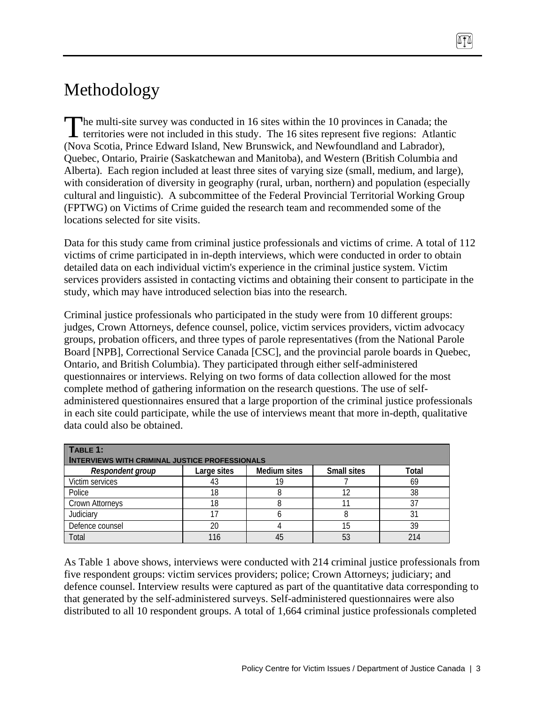# Methodology

The multi-site survey was conducted in 16 sites within the 10 provinces in Canada; the The multi-site survey was conducted in 16 sites within the 10 provinces in Canada; the territories were not included in this study. The 16 sites represent five regions: Atlantic (Nova Scotia, Prince Edward Island, New Brunswick, and Newfoundland and Labrador), Quebec, Ontario, Prairie (Saskatchewan and Manitoba), and Western (British Columbia and Alberta). Each region included at least three sites of varying size (small, medium, and large), with consideration of diversity in geography (rural, urban, northern) and population (especially cultural and linguistic). A subcommittee of the Federal Provincial Territorial Working Group (FPTWG) on Victims of Crime guided the research team and recommended some of the locations selected for site visits.

Data for this study came from criminal justice professionals and victims of crime. A total of 112 victims of crime participated in in-depth interviews, which were conducted in order to obtain detailed data on each individual victim's experience in the criminal justice system. Victim services providers assisted in contacting victims and obtaining their consent to participate in the study, which may have introduced selection bias into the research.

Criminal justice professionals who participated in the study were from 10 different groups: judges, Crown Attorneys, defence counsel, police, victim services providers, victim advocacy groups, probation officers, and three types of parole representatives (from the National Parole Board [NPB], Correctional Service Canada [CSC], and the provincial parole boards in Quebec, Ontario, and British Columbia). They participated through either self-administered questionnaires or interviews. Relying on two forms of data collection allowed for the most complete method of gathering information on the research questions. The use of selfadministered questionnaires ensured that a large proportion of the criminal justice professionals in each site could participate, while the use of interviews meant that more in-depth, qualitative data could also be obtained.

| TABLE 1:<br><b>INTERVIEWS WITH CRIMINAL JUSTICE PROFESSIONALS</b> |             |                     |                    |       |  |  |  |
|-------------------------------------------------------------------|-------------|---------------------|--------------------|-------|--|--|--|
| Respondent group                                                  | Large sites | <b>Medium sites</b> | <b>Small sites</b> | Total |  |  |  |
| Victim services                                                   | 43          |                     |                    | 69    |  |  |  |
| Police                                                            | 18          |                     |                    | 38    |  |  |  |
| <b>Crown Attorneys</b>                                            | 18          |                     |                    | 37    |  |  |  |
| Judiciary                                                         |             |                     |                    | 31    |  |  |  |
| Defence counsel                                                   | 20          |                     | 15                 | 39    |  |  |  |
| Total                                                             | 116         | 45                  | 53                 | 214   |  |  |  |

As Table 1 above shows, interviews were conducted with 214 criminal justice professionals from five respondent groups: victim services providers; police; Crown Attorneys; judiciary; and defence counsel. Interview results were captured as part of the quantitative data corresponding to that generated by the self-administered surveys. Self-administered questionnaires were also distributed to all 10 respondent groups. A total of 1,664 criminal justice professionals completed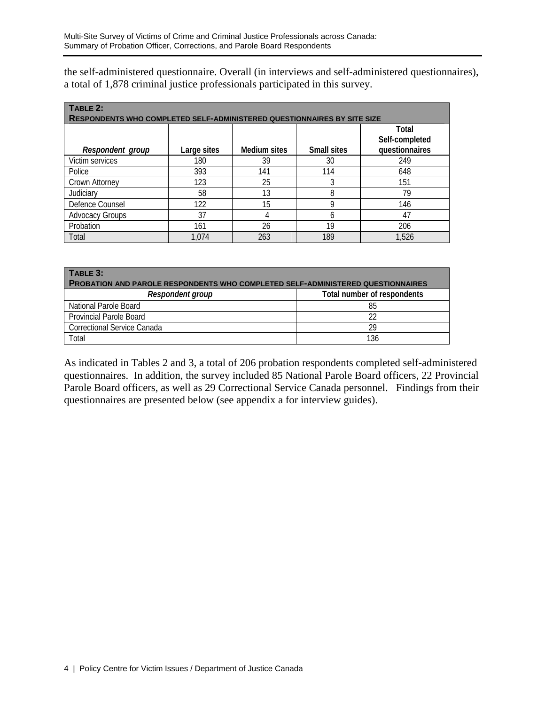the self-administered questionnaire. Overall (in interviews and self-administered questionnaires), a total of 1,878 criminal justice professionals participated in this survey.

| TABLE 2:                                                                       |             |              |                    |                                  |  |  |  |  |
|--------------------------------------------------------------------------------|-------------|--------------|--------------------|----------------------------------|--|--|--|--|
| <b>RESPONDENTS WHO COMPLETED SELF-ADMINISTERED QUESTIONNAIRES BY SITE SIZE</b> |             |              |                    |                                  |  |  |  |  |
|                                                                                |             |              |                    | Total                            |  |  |  |  |
| Respondent group                                                               | Large sites | Medium sites | <b>Small sites</b> | Self-completed<br>questionnaires |  |  |  |  |
| Victim services                                                                | 180         | 39           | 30                 | 249                              |  |  |  |  |
| Police                                                                         | 393         | 141          | 114                | 648                              |  |  |  |  |
| Crown Attorney                                                                 | 123         | 25           |                    | 151                              |  |  |  |  |
| Judiciary                                                                      | 58          | 13           | 8                  | 79                               |  |  |  |  |
| Defence Counsel                                                                | 122         | 15           | 9                  | 146                              |  |  |  |  |
| <b>Advocacy Groups</b>                                                         | 37          | 4            | h                  | 47                               |  |  |  |  |
| Probation                                                                      | 161         | 26           | 19                 | 206                              |  |  |  |  |
| Total                                                                          | 1.074       | 263          | 189                | 1,526                            |  |  |  |  |

| TABLE 3:<br><b>PROBATION AND PAROLE RESPONDENTS WHO COMPLETED SELF-ADMINISTERED QUESTIONNAIRES</b> |                             |  |  |  |  |  |  |
|----------------------------------------------------------------------------------------------------|-----------------------------|--|--|--|--|--|--|
| Respondent group                                                                                   | Total number of respondents |  |  |  |  |  |  |
| National Parole Board                                                                              | 85                          |  |  |  |  |  |  |
| <b>Provincial Parole Board</b>                                                                     |                             |  |  |  |  |  |  |
| Correctional Service Canada                                                                        | 29                          |  |  |  |  |  |  |
| Total                                                                                              | 136                         |  |  |  |  |  |  |

As indicated in Tables 2 and 3, a total of 206 probation respondents completed self-administered questionnaires. In addition, the survey included 85 National Parole Board officers, 22 Provincial Parole Board officers, as well as 29 Correctional Service Canada personnel. Findings from their questionnaires are presented below (see appendix a for interview guides).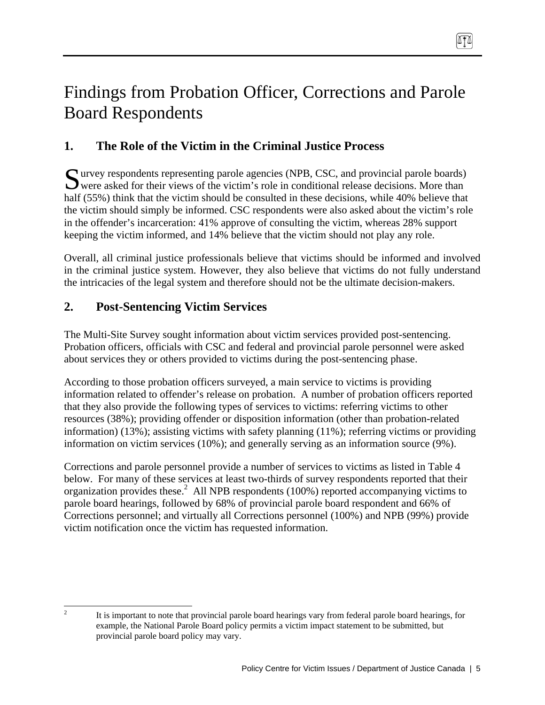# Findings from Probation Officer, Corrections and Parole Board Respondents

# **1. The Role of the Victim in the Criminal Justice Process**

urvey respondents representing parole agencies (NPB, CSC, and provincial parole boards) Survey respondents representing parole agencies (NPB, CSC, and provincial parole boards) were asked for their views of the victim's role in conditional release decisions. More than half (55%) think that the victim should be consulted in these decisions, while 40% believe that the victim should simply be informed. CSC respondents were also asked about the victim's role in the offender's incarceration: 41% approve of consulting the victim, whereas 28% support keeping the victim informed, and 14% believe that the victim should not play any role.

Overall, all criminal justice professionals believe that victims should be informed and involved in the criminal justice system. However, they also believe that victims do not fully understand the intricacies of the legal system and therefore should not be the ultimate decision-makers.

## **2. Post-Sentencing Victim Services**

The Multi-Site Survey sought information about victim services provided post-sentencing. Probation officers, officials with CSC and federal and provincial parole personnel were asked about services they or others provided to victims during the post-sentencing phase.

According to those probation officers surveyed, a main service to victims is providing information related to offender's release on probation. A number of probation officers reported that they also provide the following types of services to victims: referring victims to other resources (38%); providing offender or disposition information (other than probation-related information) (13%); assisting victims with safety planning  $(11\%)$ ; referring victims or providing information on victim services (10%); and generally serving as an information source (9%).

Corrections and parole personnel provide a number of services to victims as listed in Table 4 below. For many of these services at least two-thirds of survey respondents reported that their organization provides these.<sup>2</sup> All NPB respondents (100%) reported accompanying victims to parole board hearings, followed by 68% of provincial parole board respondent and 66% of Corrections personnel; and virtually all Corrections personnel (100%) and NPB (99%) provide victim notification once the victim has requested information.

<sup>&</sup>lt;sup>2</sup> It is important to note that provincial parole board hearings vary from federal parole board hearings, for example, the National Parole Board policy permits a victim impact statement to be submitted, but provincial parole board policy may vary.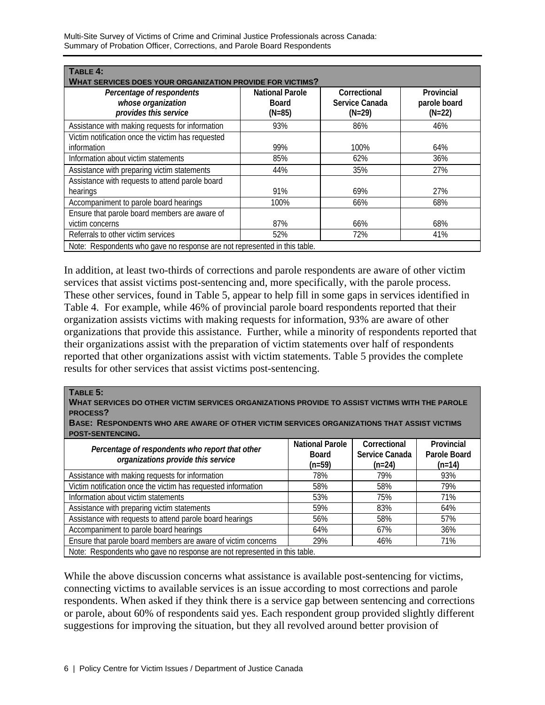Multi-Site Survey of Victims of Crime and Criminal Justice Professionals across Canada: Summary of Probation Officer, Corrections, and Parole Board Respondents

| TABLE 4:<br><b>WHAT SERVICES DOES YOUR ORGANIZATION PROVIDE FOR VICTIMS?</b> |                                                    |                                            |                                        |  |  |  |  |
|------------------------------------------------------------------------------|----------------------------------------------------|--------------------------------------------|----------------------------------------|--|--|--|--|
| Percentage of respondents<br>whose organization<br>provides this service     | <b>National Parole</b><br><b>Board</b><br>$(N=85)$ | Correctional<br>Service Canada<br>$(N=29)$ | Provincial<br>parole board<br>$(N=22)$ |  |  |  |  |
| Assistance with making requests for information                              | 93%                                                | 86%                                        | 46%                                    |  |  |  |  |
| Victim notification once the victim has requested<br>information             | 99%                                                | 100%                                       | 64%                                    |  |  |  |  |
| Information about victim statements                                          | 85%                                                | 62%                                        | 36%                                    |  |  |  |  |
| Assistance with preparing victim statements                                  | 44%                                                | 35%                                        | 27%                                    |  |  |  |  |
| Assistance with requests to attend parole board<br>hearings                  | 91%                                                | 69%                                        | 27%                                    |  |  |  |  |
| Accompaniment to parole board hearings                                       | 100%                                               | 66%                                        | 68%                                    |  |  |  |  |
| Ensure that parole board members are aware of<br>victim concerns             | 87%                                                | 66%                                        | 68%                                    |  |  |  |  |
| Referrals to other victim services                                           | 52%                                                | 72%                                        | 41%                                    |  |  |  |  |
| Note: Respondents who gave no response are not represented in this table.    |                                                    |                                            |                                        |  |  |  |  |

In addition, at least two-thirds of corrections and parole respondents are aware of other victim services that assist victims post-sentencing and, more specifically, with the parole process. These other services, found in Table 5, appear to help fill in some gaps in services identified in Table 4. For example, while 46% of provincial parole board respondents reported that their organization assists victims with making requests for information, 93% are aware of other organizations that provide this assistance. Further, while a minority of respondents reported that their organizations assist with the preparation of victim statements over half of respondents reported that other organizations assist with victim statements. Table 5 provides the complete results for other services that assist victims post-sentencing.

#### **TABLE 5:**

**WHAT SERVICES DO OTHER VICTIM SERVICES ORGANIZATIONS PROVIDE TO ASSIST VICTIMS WITH THE PAROLE PROCESS?** 

**BASE: RESPONDENTS WHO ARE AWARE OF OTHER VICTIM SERVICES ORGANIZATIONS THAT ASSIST VICTIMS POST-SENTENCING.**

| Percentage of respondents who report that other<br>organizations provide this service | <b>National Parole</b><br><b>Board</b><br>$(n=59)$ | Correctional<br>Service Canada<br>$(n=24)$ | Provincial<br>Parole Board<br>$(n=14)$ |  |  |  |
|---------------------------------------------------------------------------------------|----------------------------------------------------|--------------------------------------------|----------------------------------------|--|--|--|
| Assistance with making requests for information                                       | 78%                                                | 79%                                        | 93%                                    |  |  |  |
| Victim notification once the victim has requested information                         | 58%                                                | 58%                                        | 79%                                    |  |  |  |
| Information about victim statements                                                   | 53%                                                | 75%                                        | 71%                                    |  |  |  |
| Assistance with preparing victim statements                                           | 59%                                                | 83%                                        | 64%                                    |  |  |  |
| Assistance with requests to attend parole board hearings                              | 56%                                                | 58%                                        | 57%                                    |  |  |  |
| Accompaniment to parole board hearings                                                | 64%                                                | 67%                                        | 36%                                    |  |  |  |
| Ensure that parole board members are aware of victim concerns                         | 29%                                                | 46%                                        | 71%                                    |  |  |  |
| Note: Respondents who gave no response are not represented in this table.             |                                                    |                                            |                                        |  |  |  |

While the above discussion concerns what assistance is available post-sentencing for victims, connecting victims to available services is an issue according to most corrections and parole respondents. When asked if they think there is a service gap between sentencing and corrections or parole, about 60% of respondents said yes. Each respondent group provided slightly different suggestions for improving the situation, but they all revolved around better provision of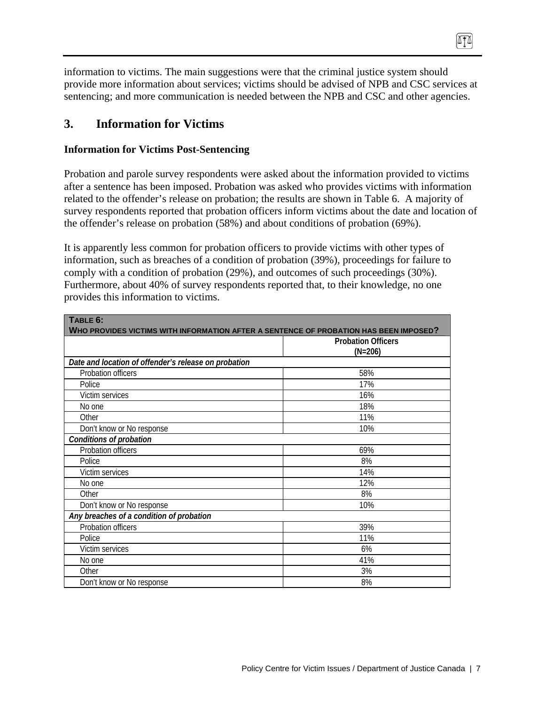information to victims. The main suggestions were that the criminal justice system should provide more information about services; victims should be advised of NPB and CSC services at sentencing; and more communication is needed between the NPB and CSC and other agencies.

 $\sqrt{11}$ 

## **3. Information for Victims**

## **Information for Victims Post-Sentencing**

Probation and parole survey respondents were asked about the information provided to victims after a sentence has been imposed. Probation was asked who provides victims with information related to the offender's release on probation; the results are shown in Table 6. A majority of survey respondents reported that probation officers inform victims about the date and location of the offender's release on probation (58%) and about conditions of probation (69%).

It is apparently less common for probation officers to provide victims with other types of information, such as breaches of a condition of probation (39%), proceedings for failure to comply with a condition of probation (29%), and outcomes of such proceedings (30%). Furthermore, about 40% of survey respondents reported that, to their knowledge, no one provides this information to victims.

| TABLE 6:                                                                              |                           |  |  |  |  |  |  |
|---------------------------------------------------------------------------------------|---------------------------|--|--|--|--|--|--|
| WHO PROVIDES VICTIMS WITH INFORMATION AFTER A SENTENCE OF PROBATION HAS BEEN IMPOSED? |                           |  |  |  |  |  |  |
|                                                                                       | <b>Probation Officers</b> |  |  |  |  |  |  |
|                                                                                       | $(N=206)$                 |  |  |  |  |  |  |
| Date and location of offender's release on probation                                  |                           |  |  |  |  |  |  |
| Probation officers                                                                    | 58%                       |  |  |  |  |  |  |
| Police                                                                                | 17%                       |  |  |  |  |  |  |
| Victim services                                                                       | 16%                       |  |  |  |  |  |  |
| No one                                                                                | 18%                       |  |  |  |  |  |  |
| Other                                                                                 | 11%                       |  |  |  |  |  |  |
| Don't know or No response                                                             | 10%                       |  |  |  |  |  |  |
| Conditions of probation                                                               |                           |  |  |  |  |  |  |
| Probation officers                                                                    | 69%                       |  |  |  |  |  |  |
| Police                                                                                | 8%                        |  |  |  |  |  |  |
| Victim services                                                                       | 14%                       |  |  |  |  |  |  |
| No one                                                                                | 12%                       |  |  |  |  |  |  |
| Other                                                                                 | 8%                        |  |  |  |  |  |  |
| Don't know or No response                                                             | 10%                       |  |  |  |  |  |  |
| Any breaches of a condition of probation                                              |                           |  |  |  |  |  |  |
| Probation officers                                                                    | 39%                       |  |  |  |  |  |  |
| Police                                                                                | 11%                       |  |  |  |  |  |  |
| Victim services                                                                       | 6%                        |  |  |  |  |  |  |
| No one                                                                                | 41%                       |  |  |  |  |  |  |
| Other                                                                                 | 3%                        |  |  |  |  |  |  |
| Don't know or No response                                                             | 8%                        |  |  |  |  |  |  |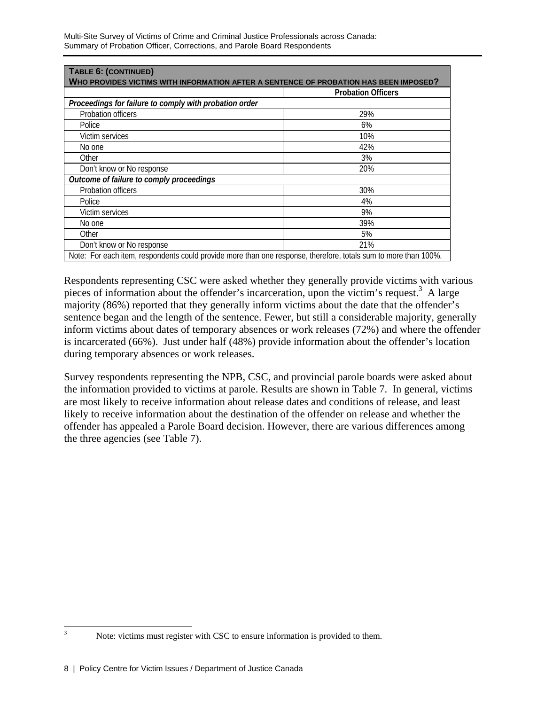| TABLE 6: (CONTINUED)<br>WHO PROVIDES VICTIMS WITH INFORMATION AFTER A SENTENCE OF PROBATION HAS BEEN IMPOSED?   |                           |  |  |  |  |  |
|-----------------------------------------------------------------------------------------------------------------|---------------------------|--|--|--|--|--|
|                                                                                                                 | <b>Probation Officers</b> |  |  |  |  |  |
| Proceedings for failure to comply with probation order                                                          |                           |  |  |  |  |  |
| Probation officers                                                                                              | 29%                       |  |  |  |  |  |
| Police                                                                                                          | 6%                        |  |  |  |  |  |
| Victim services                                                                                                 | 10%                       |  |  |  |  |  |
| No one                                                                                                          | 42%                       |  |  |  |  |  |
| Other                                                                                                           | 3%                        |  |  |  |  |  |
| Don't know or No response                                                                                       | 20%                       |  |  |  |  |  |
| Outcome of failure to comply proceedings                                                                        |                           |  |  |  |  |  |
| Probation officers                                                                                              | 30%                       |  |  |  |  |  |
| Police                                                                                                          | 4%                        |  |  |  |  |  |
| Victim services                                                                                                 | 9%                        |  |  |  |  |  |
| No one                                                                                                          | 39%                       |  |  |  |  |  |
| Other                                                                                                           | 5%                        |  |  |  |  |  |
| Don't know or No response                                                                                       | 21%                       |  |  |  |  |  |
| Note: For each item, respondents could provide more than one response, therefore, totals sum to more than 100%. |                           |  |  |  |  |  |

Respondents representing CSC were asked whether they generally provide victims with various pieces of information about the offender's incarceration, upon the victim's request.<sup>3</sup> A large majority (86%) reported that they generally inform victims about the date that the offender's sentence began and the length of the sentence. Fewer, but still a considerable majority, generally inform victims about dates of temporary absences or work releases (72%) and where the offender is incarcerated (66%). Just under half (48%) provide information about the offender's location during temporary absences or work releases.

Survey respondents representing the NPB, CSC, and provincial parole boards were asked about the information provided to victims at parole. Results are shown in Table 7. In general, victims are most likely to receive information about release dates and conditions of release, and least likely to receive information about the destination of the offender on release and whether the offender has appealed a Parole Board decision. However, there are various differences among the three agencies (see Table 7).

 3

Note: victims must register with CSC to ensure information is provided to them.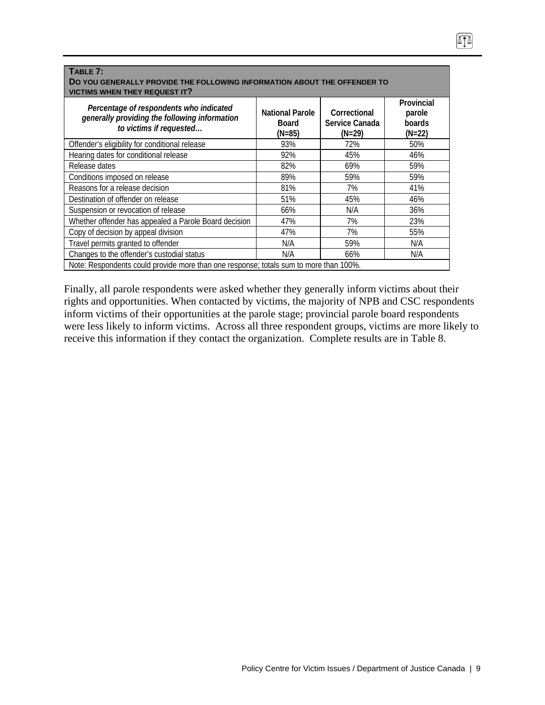| TABLE 7:<br>DO YOU GENERALLY PROVIDE THE FOLLOWING INFORMATION ABOUT THE OFFENDER TO<br><b>VICTIMS WHEN THEY REQUEST IT?</b> |                                                  |                                            |                                            |  |  |  |  |
|------------------------------------------------------------------------------------------------------------------------------|--------------------------------------------------|--------------------------------------------|--------------------------------------------|--|--|--|--|
| Percentage of respondents who indicated<br>generally providing the following information<br>to victims if requested          | <b>National Parole</b><br><b>Board</b><br>(N=85) | Correctional<br>Service Canada<br>$(N=29)$ | Provincial<br>parole<br>boards<br>$(N=22)$ |  |  |  |  |
| Offender's eligibility for conditional release                                                                               | 93%                                              | 72%                                        | 50%                                        |  |  |  |  |
| Hearing dates for conditional release                                                                                        | 92%                                              | 45%                                        | 46%                                        |  |  |  |  |
| Release dates                                                                                                                | 82%                                              | 69%                                        | 59%                                        |  |  |  |  |
| Conditions imposed on release                                                                                                | 89%                                              | 59%                                        | 59%                                        |  |  |  |  |
| Reasons for a release decision                                                                                               | 81%                                              | 7%                                         | 41%                                        |  |  |  |  |
| Destination of offender on release                                                                                           | 51%                                              | 45%                                        | 46%                                        |  |  |  |  |
| Suspension or revocation of release                                                                                          | 66%                                              | N/A                                        | 36%                                        |  |  |  |  |
| Whether offender has appealed a Parole Board decision                                                                        | 47%                                              | 7%                                         | 23%                                        |  |  |  |  |
| Copy of decision by appeal division                                                                                          | 47%                                              | 7%                                         | 55%                                        |  |  |  |  |
| Travel permits granted to offender                                                                                           | N/A                                              | 59%                                        | N/A                                        |  |  |  |  |
| Changes to the offender's custodial status                                                                                   | N/A                                              | 66%                                        | N/A                                        |  |  |  |  |
| Note: Respondents could provide more than one response; totals sum to more than 100%.                                        |                                                  |                                            |                                            |  |  |  |  |

Finally, all parole respondents were asked whether they generally inform victims about their rights and opportunities. When contacted by victims, the majority of NPB and CSC respondents inform victims of their opportunities at the parole stage; provincial parole board respondents were less likely to inform victims. Across all three respondent groups, victims are more likely to receive this information if they contact the organization. Complete results are in Table 8.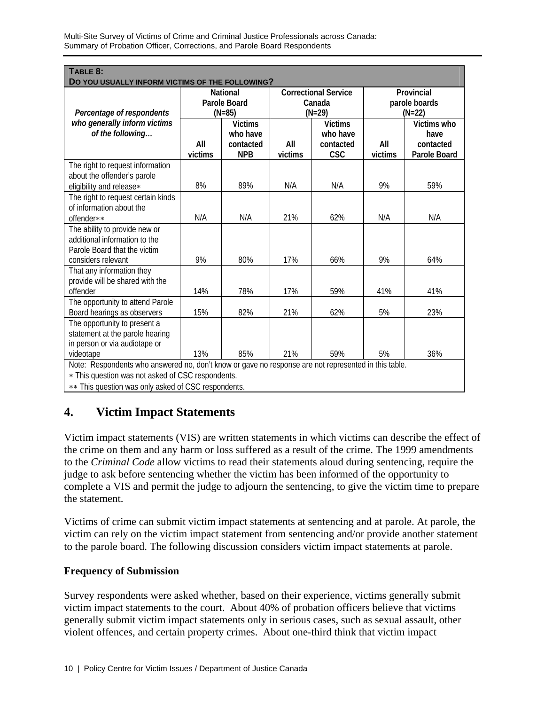| TABLE 8:<br>DO YOU USUALLY INFORM VICTIMS OF THE FOLLOWING?                                          |                                 |                |                             |                    |                         |              |
|------------------------------------------------------------------------------------------------------|---------------------------------|----------------|-----------------------------|--------------------|-------------------------|--------------|
|                                                                                                      | <b>National</b><br>Parole Board |                | <b>Correctional Service</b> |                    | Provincial              |              |
| Percentage of respondents                                                                            |                                 | $(N=85)$       |                             | Canada<br>$(N=29)$ | parole boards<br>(N=22) |              |
| who generally inform victims                                                                         |                                 | <b>Victims</b> |                             | <b>Victims</b>     |                         | Victims who  |
| of the following                                                                                     |                                 | who have       |                             | who have           |                         | have         |
|                                                                                                      | All                             | contacted      | All                         | contacted          | All                     | contacted    |
|                                                                                                      | victims                         | <b>NPB</b>     | victims                     | <b>CSC</b>         | victims                 | Parole Board |
| The right to request information                                                                     |                                 |                |                             |                    |                         |              |
| about the offender's parole                                                                          |                                 |                |                             |                    |                         |              |
| eligibility and release*                                                                             | 8%                              | 89%            | N/A                         | N/A                | 9%                      | 59%          |
| The right to request certain kinds<br>of information about the                                       |                                 |                |                             |                    |                         |              |
| offender**                                                                                           | N/A                             | N/A            | 21%                         | 62%                | N/A                     | N/A          |
| The ability to provide new or                                                                        |                                 |                |                             |                    |                         |              |
| additional information to the                                                                        |                                 |                |                             |                    |                         |              |
| Parole Board that the victim                                                                         |                                 |                |                             |                    |                         |              |
| considers relevant                                                                                   | 9%                              | 80%            | 17%                         | 66%                | 9%                      | 64%          |
| That any information they                                                                            |                                 |                |                             |                    |                         |              |
| provide will be shared with the                                                                      |                                 |                |                             |                    |                         |              |
| offender                                                                                             | 14%                             | 78%            | 17%                         | 59%                | 41%                     | 41%          |
| The opportunity to attend Parole                                                                     |                                 |                |                             |                    |                         |              |
| Board hearings as observers                                                                          | 15%                             | 82%            | 21%                         | 62%                | 5%                      | 23%          |
| The opportunity to present a                                                                         |                                 |                |                             |                    |                         |              |
| statement at the parole hearing                                                                      |                                 |                |                             |                    |                         |              |
| in person or via audiotape or                                                                        |                                 |                |                             |                    |                         |              |
| videotape                                                                                            | 13%                             | 85%            | 21%                         | 59%                | 5%                      | 36%          |
| Note: Respondents who answered no, don't know or gave no response are not represented in this table. |                                 |                |                             |                    |                         |              |
| * This question was not asked of CSC respondents.                                                    |                                 |                |                             |                    |                         |              |

∗∗ This question was only asked of CSC respondents.

## **4. Victim Impact Statements**

Victim impact statements (VIS) are written statements in which victims can describe the effect of the crime on them and any harm or loss suffered as a result of the crime. The 1999 amendments to the *Criminal Code* allow victims to read their statements aloud during sentencing, require the judge to ask before sentencing whether the victim has been informed of the opportunity to complete a VIS and permit the judge to adjourn the sentencing, to give the victim time to prepare the statement.

Victims of crime can submit victim impact statements at sentencing and at parole. At parole, the victim can rely on the victim impact statement from sentencing and/or provide another statement to the parole board. The following discussion considers victim impact statements at parole.

### **Frequency of Submission**

Survey respondents were asked whether, based on their experience, victims generally submit victim impact statements to the court. About 40% of probation officers believe that victims generally submit victim impact statements only in serious cases, such as sexual assault, other violent offences, and certain property crimes. About one-third think that victim impact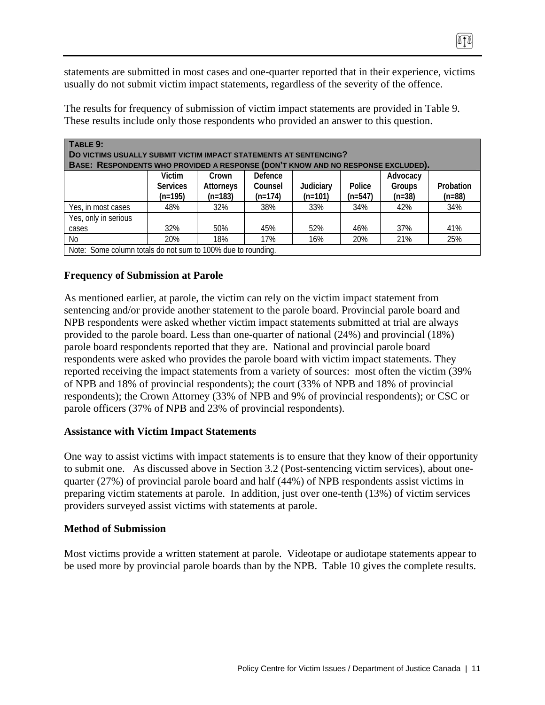statements are submitted in most cases and one-quarter reported that in their experience, victims usually do not submit victim impact statements, regardless of the severity of the offence.

| TABLE 9:<br>DO VICTIMS USUALLY SUBMIT VICTIM IMPACT STATEMENTS AT SENTENCING?<br>BASE: RESPONDENTS WHO PROVIDED A RESPONSE (DON'T KNOW AND NO RESPONSE EXCLUDED). |                 |           |           |           |           |          |           |
|-------------------------------------------------------------------------------------------------------------------------------------------------------------------|-----------------|-----------|-----------|-----------|-----------|----------|-----------|
|                                                                                                                                                                   | <b>Victim</b>   | Crown     | Defence   |           |           | Advocacy |           |
|                                                                                                                                                                   | <b>Services</b> | Attorneys | Counsel   | Judiciary | Police    | Groups   | Probation |
|                                                                                                                                                                   | $(n=195)$       | $(n=183)$ | $(n=174)$ | $(n=101)$ | $(n=547)$ | $(n=38)$ | $(n=88)$  |
| Yes, in most cases                                                                                                                                                | 48%             | 32%       | 38%       | 33%       | 34%       | 42%      | 34%       |
| Yes, only in serious                                                                                                                                              |                 |           |           |           |           |          |           |
| cases                                                                                                                                                             | 32%             | 50%       | 45%       | 52%       | 46%       | 37%      | 41%       |
| No.                                                                                                                                                               | 20%             | 18%       | 17%       | 16%       | 20%       | 21%      | 25%       |
| Note: Some column totals do not sum to 100% due to rounding.                                                                                                      |                 |           |           |           |           |          |           |

The results for frequency of submission of victim impact statements are provided in Table 9. These results include only those respondents who provided an answer to this question.

### **Frequency of Submission at Parole**

As mentioned earlier, at parole, the victim can rely on the victim impact statement from sentencing and/or provide another statement to the parole board. Provincial parole board and NPB respondents were asked whether victim impact statements submitted at trial are always provided to the parole board. Less than one-quarter of national (24%) and provincial (18%) parole board respondents reported that they are. National and provincial parole board respondents were asked who provides the parole board with victim impact statements. They reported receiving the impact statements from a variety of sources: most often the victim (39% of NPB and 18% of provincial respondents); the court (33% of NPB and 18% of provincial respondents); the Crown Attorney (33% of NPB and 9% of provincial respondents); or CSC or parole officers (37% of NPB and 23% of provincial respondents).

### **Assistance with Victim Impact Statements**

One way to assist victims with impact statements is to ensure that they know of their opportunity to submit one. As discussed above in Section 3.2 (Post-sentencing victim services), about onequarter (27%) of provincial parole board and half (44%) of NPB respondents assist victims in preparing victim statements at parole. In addition, just over one-tenth (13%) of victim services providers surveyed assist victims with statements at parole.

### **Method of Submission**

Most victims provide a written statement at parole. Videotape or audiotape statements appear to be used more by provincial parole boards than by the NPB. Table 10 gives the complete results.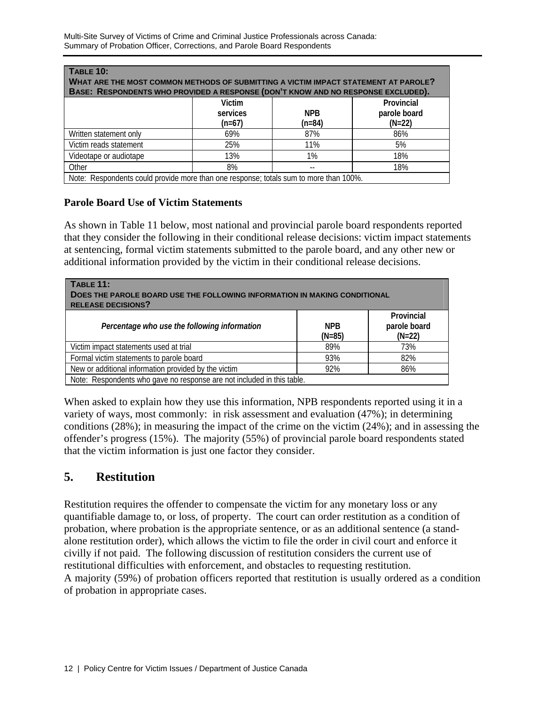| <b>TABLE 10:</b>                                                                      |          |            |              |  |  |  |  |
|---------------------------------------------------------------------------------------|----------|------------|--------------|--|--|--|--|
| WHAT ARE THE MOST COMMON METHODS OF SUBMITTING A VICTIM IMPACT STATEMENT AT PAROLE?   |          |            |              |  |  |  |  |
| BASE: RESPONDENTS WHO PROVIDED A RESPONSE (DON'T KNOW AND NO RESPONSE EXCLUDED).      |          |            |              |  |  |  |  |
| Provincial<br>Victim                                                                  |          |            |              |  |  |  |  |
|                                                                                       | services | <b>NPB</b> | parole board |  |  |  |  |
|                                                                                       | $(n=67)$ | $(n=84)$   | $(N=22)$     |  |  |  |  |
| Written statement only                                                                | 69%      | 87%        | 86%          |  |  |  |  |
| Victim reads statement                                                                | 25%      | 11%        | 5%           |  |  |  |  |
| Videotape or audiotape                                                                | 13%      | 1%         | 18%          |  |  |  |  |
| Other                                                                                 | 8%       |            | 18%          |  |  |  |  |
| Note: Respondents could provide more than one response; totals sum to more than 100%. |          |            |              |  |  |  |  |

### **Parole Board Use of Victim Statements**

As shown in Table 11 below, most national and provincial parole board respondents reported that they consider the following in their conditional release decisions: victim impact statements at sentencing, formal victim statements submitted to the parole board, and any other new or additional information provided by the victim in their conditional release decisions.

| TABLE 11:<br>DOES THE PAROLE BOARD USE THE FOLLOWING INFORMATION IN MAKING CONDITIONAL<br><b>RELEASE DECISIONS?</b> |                  |                                        |  |  |  |
|---------------------------------------------------------------------------------------------------------------------|------------------|----------------------------------------|--|--|--|
| Percentage who use the following information                                                                        | NPB.<br>$(N=85)$ | Provincial<br>parole board<br>$(N=22)$ |  |  |  |
| Victim impact statements used at trial                                                                              | 89%              | 73%                                    |  |  |  |
| Formal victim statements to parole board                                                                            | 93%              | 82%                                    |  |  |  |
| New or additional information provided by the victim<br>92%<br>86%                                                  |                  |                                        |  |  |  |
| Note: Respondents who gave no response are not included in this table.                                              |                  |                                        |  |  |  |

When asked to explain how they use this information, NPB respondents reported using it in a variety of ways, most commonly: in risk assessment and evaluation (47%); in determining conditions (28%); in measuring the impact of the crime on the victim (24%); and in assessing the offender's progress (15%). The majority (55%) of provincial parole board respondents stated that the victim information is just one factor they consider.

## **5. Restitution**

Restitution requires the offender to compensate the victim for any monetary loss or any quantifiable damage to, or loss, of property. The court can order restitution as a condition of probation, where probation is the appropriate sentence, or as an additional sentence (a standalone restitution order), which allows the victim to file the order in civil court and enforce it civilly if not paid. The following discussion of restitution considers the current use of restitutional difficulties with enforcement, and obstacles to requesting restitution. A majority (59%) of probation officers reported that restitution is usually ordered as a condition of probation in appropriate cases.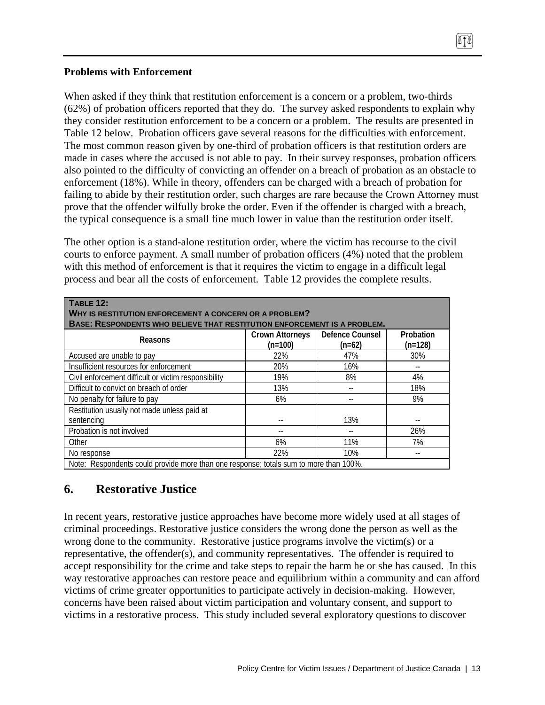### **Problems with Enforcement**

When asked if they think that restitution enforcement is a concern or a problem, two-thirds (62%) of probation officers reported that they do. The survey asked respondents to explain why they consider restitution enforcement to be a concern or a problem. The results are presented in Table 12 below. Probation officers gave several reasons for the difficulties with enforcement. The most common reason given by one-third of probation officers is that restitution orders are made in cases where the accused is not able to pay. In their survey responses, probation officers also pointed to the difficulty of convicting an offender on a breach of probation as an obstacle to enforcement (18%). While in theory, offenders can be charged with a breach of probation for failing to abide by their restitution order, such charges are rare because the Crown Attorney must prove that the offender wilfully broke the order. Even if the offender is charged with a breach, the typical consequence is a small fine much lower in value than the restitution order itself.

The other option is a stand-alone restitution order, where the victim has recourse to the civil courts to enforce payment. A small number of probation officers (4%) noted that the problem with this method of enforcement is that it requires the victim to engage in a difficult legal process and bear all the costs of enforcement. Table 12 provides the complete results.

| TABLE 12:<br>WHY IS RESTITUTION ENFORCEMENT A CONCERN OR A PROBLEM?<br><b>BASE: RESPONDENTS WHO BELIEVE THAT RESTITUTION ENFORCEMENT IS A PROBLEM.</b> |                                     |                             |                        |
|--------------------------------------------------------------------------------------------------------------------------------------------------------|-------------------------------------|-----------------------------|------------------------|
| Reasons                                                                                                                                                | <b>Crown Attorneys</b><br>$(n=100)$ | Defence Counsel<br>$(n=62)$ | Probation<br>$(n=128)$ |
| Accused are unable to pay                                                                                                                              | 22%                                 | 47%                         | 30%                    |
| Insufficient resources for enforcement                                                                                                                 | 20%                                 | 16%                         |                        |
| Civil enforcement difficult or victim responsibility                                                                                                   | 19%                                 | 8%                          | 4%                     |
| Difficult to convict on breach of order                                                                                                                | 13%                                 |                             | 18%                    |
| No penalty for failure to pay                                                                                                                          | 6%                                  |                             | 9%                     |
| Restitution usually not made unless paid at                                                                                                            |                                     |                             |                        |
| sentencing                                                                                                                                             |                                     | 13%                         | $- -$                  |
| Probation is not involved                                                                                                                              |                                     |                             | 26%                    |
| Other                                                                                                                                                  | 6%                                  | 11%                         | 7%                     |
| No response                                                                                                                                            | 22%                                 | 10%                         | $- -$                  |
| Note: Respondents could provide more than one response; totals sum to more than 100%.                                                                  |                                     |                             |                        |

## **6. Restorative Justice**

In recent years, restorative justice approaches have become more widely used at all stages of criminal proceedings. Restorative justice considers the wrong done the person as well as the wrong done to the community. Restorative justice programs involve the victim(s) or a representative, the offender(s), and community representatives. The offender is required to accept responsibility for the crime and take steps to repair the harm he or she has caused. In this way restorative approaches can restore peace and equilibrium within a community and can afford victims of crime greater opportunities to participate actively in decision-making. However, concerns have been raised about victim participation and voluntary consent, and support to victims in a restorative process. This study included several exploratory questions to discover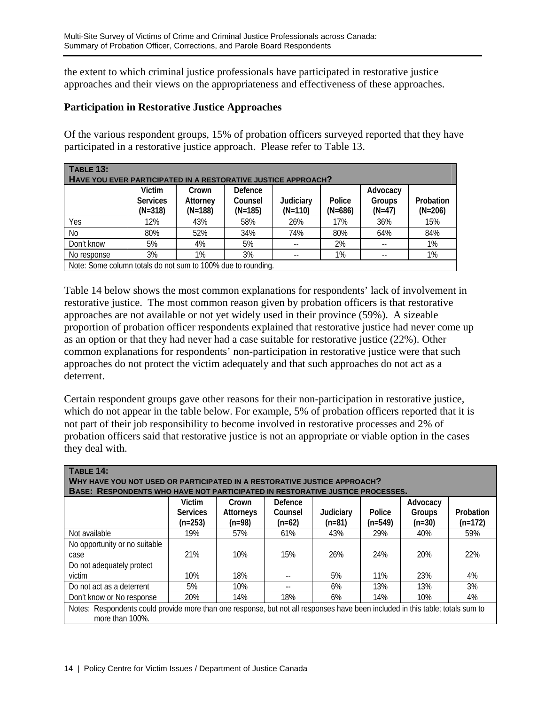the extent to which criminal justice professionals have participated in restorative justice approaches and their views on the appropriateness and effectiveness of these approaches.

### **Participation in Restorative Justice Approaches**

Of the various respondent groups, 15% of probation officers surveyed reported that they have participated in a restorative justice approach. Please refer to Table 13.

| <b>TABLE 13:</b>                                              |                 |           |           |           |           |          |           |
|---------------------------------------------------------------|-----------------|-----------|-----------|-----------|-----------|----------|-----------|
| HAVE YOU EVER PARTICIPATED IN A RESTORATIVE JUSTICE APPROACH? |                 |           |           |           |           |          |           |
|                                                               | Victim          | Crown     | Defence   |           |           | Advocacy |           |
|                                                               | <b>Services</b> | Attorney  | Counsel   | Judiciary | Police    | Groups   | Probation |
|                                                               | $(N=318)$       | $(N=188)$ | $(N=185)$ | $(N=110)$ | $(N=686)$ | $(N=47)$ | $(N=206)$ |
| Yes                                                           | 12%             | 43%       | 58%       | 26%       | 17%       | 36%      | 15%       |
| N <sub>0</sub>                                                | 80%             | 52%       | 34%       | 74%       | 80%       | 64%      | 84%       |
| Don't know                                                    | 5%              | 4%        | 5%        |           | 2%        |          | 1%        |
| No response                                                   | 3%              | 1%        | 3%        | --        | 1%        |          | 1%        |
| Note: Some column totals do not sum to 100% due to rounding.  |                 |           |           |           |           |          |           |

Table 14 below shows the most common explanations for respondents' lack of involvement in restorative justice. The most common reason given by probation officers is that restorative approaches are not available or not yet widely used in their province (59%). A sizeable proportion of probation officer respondents explained that restorative justice had never come up as an option or that they had never had a case suitable for restorative justice (22%). Other common explanations for respondents' non-participation in restorative justice were that such approaches do not protect the victim adequately and that such approaches do not act as a deterrent.

Certain respondent groups gave other reasons for their non-participation in restorative justice, which do not appear in the table below. For example, 5% of probation officers reported that it is not part of their job responsibility to become involved in restorative processes and 2% of probation officers said that restorative justice is not an appropriate or viable option in the cases they deal with.

| TABLE 14:<br>WHY HAVE YOU NOT USED OR PARTICIPATED IN A RESTORATIVE JUSTICE APPROACH?                                                             |                              |                       |                     |                       |                     |                    |                        |
|---------------------------------------------------------------------------------------------------------------------------------------------------|------------------------------|-----------------------|---------------------|-----------------------|---------------------|--------------------|------------------------|
| BASE: RESPONDENTS WHO HAVE NOT PARTICIPATED IN RESTORATIVE JUSTICE PROCESSES.                                                                     | Victim                       | Crown                 | Defence             |                       |                     | Advocacy           |                        |
|                                                                                                                                                   | <b>Services</b><br>$(n=253)$ | Attorneys<br>$(n=98)$ | Counsel<br>$(n=62)$ | Judiciary<br>$(n=81)$ | Police<br>$(n=549)$ | Groups<br>$(n=30)$ | Probation<br>$(n=172)$ |
| Not available                                                                                                                                     | 19%                          | 57%                   | 61%                 | 43%                   | 29%                 | 40%                | 59%                    |
| No opportunity or no suitable<br>case                                                                                                             | 21%                          | 10%                   | 15%                 | 26%                   | 24%                 | 20%                | 22%                    |
| Do not adequately protect<br>victim                                                                                                               | 10%                          | 18%                   |                     | 5%                    | 11%                 | 23%                | 4%                     |
| Do not act as a deterrent                                                                                                                         | 5%                           | 10%                   |                     | 6%                    | 13%                 | 13%                | 3%                     |
| Don't know or No response                                                                                                                         | 20%                          | 14%                   | 18%                 | 6%                    | 14%                 | 10%                | 4%                     |
| Notes: Respondents could provide more than one response, but not all responses have been included in this table; totals sum to<br>more than 100%. |                              |                       |                     |                       |                     |                    |                        |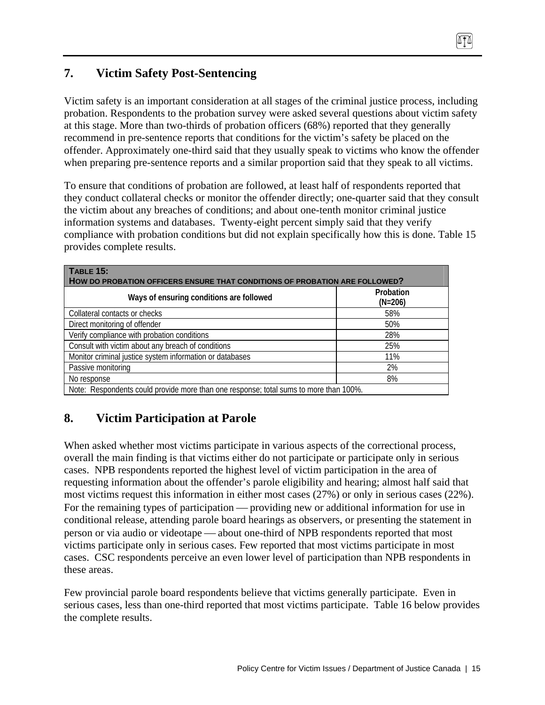# **7. Victim Safety Post-Sentencing**

Victim safety is an important consideration at all stages of the criminal justice process, including probation. Respondents to the probation survey were asked several questions about victim safety at this stage. More than two-thirds of probation officers (68%) reported that they generally recommend in pre-sentence reports that conditions for the victim's safety be placed on the offender. Approximately one-third said that they usually speak to victims who know the offender when preparing pre-sentence reports and a similar proportion said that they speak to all victims.

To ensure that conditions of probation are followed, at least half of respondents reported that they conduct collateral checks or monitor the offender directly; one-quarter said that they consult the victim about any breaches of conditions; and about one-tenth monitor criminal justice information systems and databases. Twenty-eight percent simply said that they verify compliance with probation conditions but did not explain specifically how this is done. Table 15 provides complete results.

| TABLE 15:<br>HOW DO PROBATION OFFICERS ENSURE THAT CONDITIONS OF PROBATION ARE FOLLOWED? |                        |  |  |  |
|------------------------------------------------------------------------------------------|------------------------|--|--|--|
| Ways of ensuring conditions are followed                                                 | Probation<br>$(N=206)$ |  |  |  |
| Collateral contacts or checks                                                            | 58%                    |  |  |  |
| Direct monitoring of offender                                                            | 50%                    |  |  |  |
| Verify compliance with probation conditions                                              | 28%                    |  |  |  |
| Consult with victim about any breach of conditions                                       | 25%                    |  |  |  |
| Monitor criminal justice system information or databases                                 | 11%                    |  |  |  |
| Passive monitoring                                                                       | 2%                     |  |  |  |
| No response                                                                              | 8%                     |  |  |  |
| Note: Respondents could provide more than one response; total sums to more than 100%.    |                        |  |  |  |

## **8. Victim Participation at Parole**

When asked whether most victims participate in various aspects of the correctional process, overall the main finding is that victims either do not participate or participate only in serious cases. NPB respondents reported the highest level of victim participation in the area of requesting information about the offender's parole eligibility and hearing; almost half said that most victims request this information in either most cases (27%) or only in serious cases (22%). For the remaining types of participation — providing new or additional information for use in conditional release, attending parole board hearings as observers, or presenting the statement in person or via audio or videotape — about one-third of NPB respondents reported that most victims participate only in serious cases. Few reported that most victims participate in most cases. CSC respondents perceive an even lower level of participation than NPB respondents in these areas.

Few provincial parole board respondents believe that victims generally participate. Even in serious cases, less than one-third reported that most victims participate. Table 16 below provides the complete results.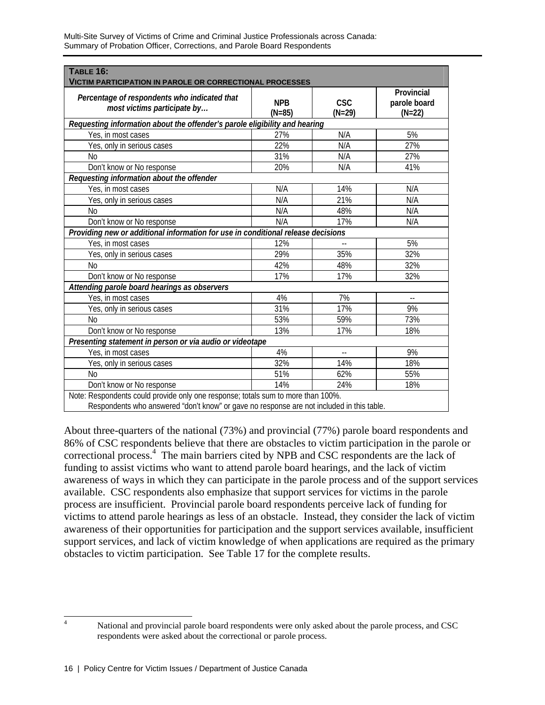| TABLE 16:<br><b>VICTIM PARTICIPATION IN PAROLE OR CORRECTIONAL PROCESSES</b>              |                        |                          |                                        |  |  |  |
|-------------------------------------------------------------------------------------------|------------------------|--------------------------|----------------------------------------|--|--|--|
| Percentage of respondents who indicated that<br>most victims participate by               | <b>NPB</b><br>$(N=85)$ | <b>CSC</b><br>$(N=29)$   | Provincial<br>parole board<br>$(N=22)$ |  |  |  |
| Requesting information about the offender's parole eligibility and hearing                |                        |                          |                                        |  |  |  |
| Yes, in most cases                                                                        | 27%                    | N/A                      | 5%                                     |  |  |  |
| Yes, only in serious cases                                                                | 22%                    | N/A                      | 27%                                    |  |  |  |
| No                                                                                        | 31%                    | N/A                      | 27%                                    |  |  |  |
| Don't know or No response                                                                 | 20%                    | N/A                      | 41%                                    |  |  |  |
| Requesting information about the offender                                                 |                        |                          |                                        |  |  |  |
| Yes, in most cases                                                                        | N/A                    | 14%                      | N/A                                    |  |  |  |
| Yes, only in serious cases                                                                | N/A                    | 21%                      | N/A                                    |  |  |  |
| N <sub>0</sub>                                                                            | N/A                    | 48%                      | N/A                                    |  |  |  |
| Don't know or No response                                                                 | N/A                    | 17%                      | N/A                                    |  |  |  |
| Providing new or additional information for use in conditional release decisions          |                        |                          |                                        |  |  |  |
| Yes, in most cases                                                                        | 12%                    | --                       | 5%                                     |  |  |  |
| Yes, only in serious cases                                                                | 29%                    | 35%                      | 32%                                    |  |  |  |
| N <sub>0</sub>                                                                            | 42%                    | 48%                      | 32%                                    |  |  |  |
| Don't know or No response                                                                 | 17%                    | 17%                      | 32%                                    |  |  |  |
| Attending parole board hearings as observers                                              |                        |                          |                                        |  |  |  |
| Yes, in most cases                                                                        | 4%                     | 7%                       | $\overline{\phantom{a}}$               |  |  |  |
| Yes, only in serious cases                                                                | 31%                    | 17%                      | 9%                                     |  |  |  |
| Nο                                                                                        | 53%                    | 59%                      | 73%                                    |  |  |  |
| Don't know or No response                                                                 | 13%                    | 17%                      | 18%                                    |  |  |  |
| Presenting statement in person or via audio or videotape                                  |                        |                          |                                        |  |  |  |
| Yes, in most cases                                                                        | 4%                     | $\overline{\phantom{a}}$ | 9%                                     |  |  |  |
| Yes, only in serious cases                                                                | 32%                    | 14%                      | 18%                                    |  |  |  |
| Nο                                                                                        | 51%                    | 62%                      | 55%                                    |  |  |  |
| Don't know or No response                                                                 | 14%                    | 24%                      | 18%                                    |  |  |  |
| Note: Respondents could provide only one response; totals sum to more than 100%.          |                        |                          |                                        |  |  |  |
| Respondents who answered "don't know" or gave no response are not included in this table. |                        |                          |                                        |  |  |  |

Multi-Site Survey of Victims of Crime and Criminal Justice Professionals across Canada: Summary of Probation Officer, Corrections, and Parole Board Respondents

About three-quarters of the national (73%) and provincial (77%) parole board respondents and 86% of CSC respondents believe that there are obstacles to victim participation in the parole or correctional process.<sup>4</sup> The main barriers cited by NPB and CSC respondents are the lack of funding to assist victims who want to attend parole board hearings, and the lack of victim awareness of ways in which they can participate in the parole process and of the support services available. CSC respondents also emphasize that support services for victims in the parole process are insufficient. Provincial parole board respondents perceive lack of funding for victims to attend parole hearings as less of an obstacle. Instead, they consider the lack of victim awareness of their opportunities for participation and the support services available, insufficient support services, and lack of victim knowledge of when applications are required as the primary obstacles to victim participation. See Table 17 for the complete results.

 $\frac{1}{4}$ 

National and provincial parole board respondents were only asked about the parole process, and CSC respondents were asked about the correctional or parole process.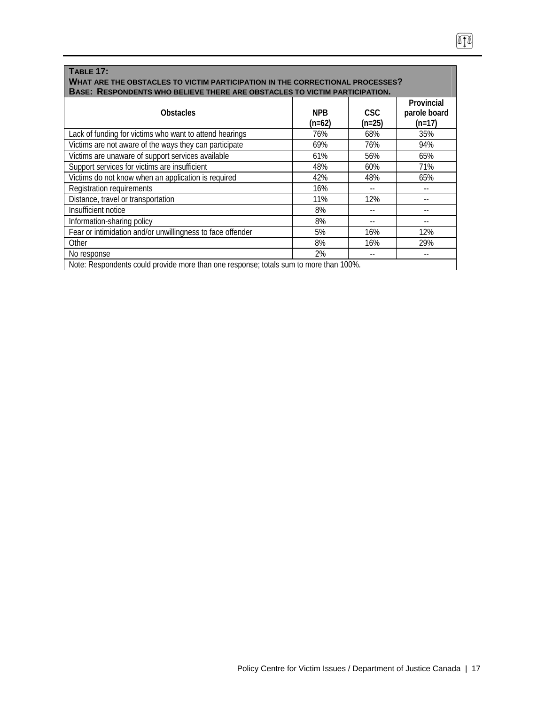| <b>TABLE 17:</b><br>WHAT ARE THE OBSTACLES TO VICTIM PARTICIPATION IN THE CORRECTIONAL PROCESSES?<br>BASE: RESPONDENTS WHO BELIEVE THERE ARE OBSTACLES TO VICTIM PARTICIPATION. |                        |                        |                                        |
|---------------------------------------------------------------------------------------------------------------------------------------------------------------------------------|------------------------|------------------------|----------------------------------------|
| <b>Obstacles</b>                                                                                                                                                                | <b>NPB</b><br>$(n=62)$ | <b>CSC</b><br>$(n=25)$ | Provincial<br>parole board<br>$(n=17)$ |
| Lack of funding for victims who want to attend hearings                                                                                                                         | 76%                    | 68%                    | 35%                                    |
| Victims are not aware of the ways they can participate                                                                                                                          | 69%                    | 76%                    | 94%                                    |
| Victims are unaware of support services available                                                                                                                               | 61%                    | 56%                    | 65%                                    |
| Support services for victims are insufficient                                                                                                                                   | 48%                    | 60%                    | 71%                                    |
| Victims do not know when an application is required                                                                                                                             | 42%                    | 48%                    | 65%                                    |
| Registration requirements                                                                                                                                                       | 16%                    |                        |                                        |
| Distance, travel or transportation                                                                                                                                              | 11%                    | 12%                    |                                        |
| Insufficient notice                                                                                                                                                             | 8%                     |                        |                                        |
| Information-sharing policy                                                                                                                                                      | 8%                     |                        |                                        |
| Fear or intimidation and/or unwillingness to face offender                                                                                                                      | 5%                     | 16%                    | 12%                                    |
| Other                                                                                                                                                                           | 8%                     | 16%                    | 29%                                    |
| No response                                                                                                                                                                     | 2%                     |                        |                                        |
| Note: Respondents could provide more than one response; totals sum to more than 100%.                                                                                           |                        |                        |                                        |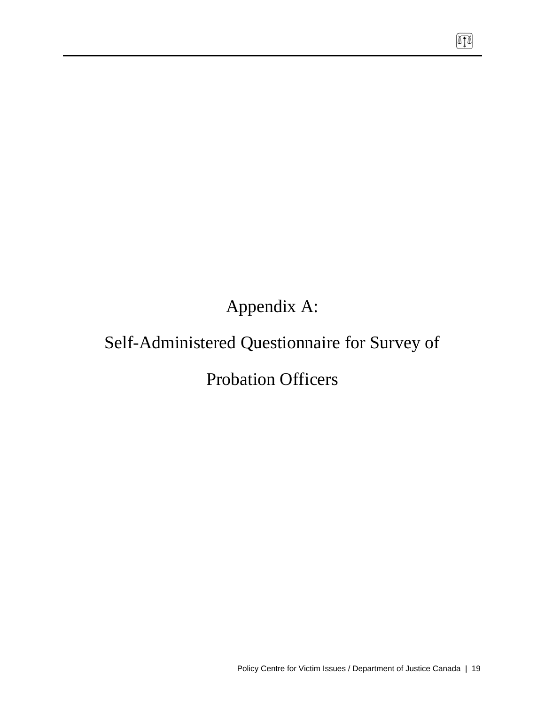Appendix A:

# Self-Administered Questionnaire for Survey of

# Probation Officers

 $\boxed{1}$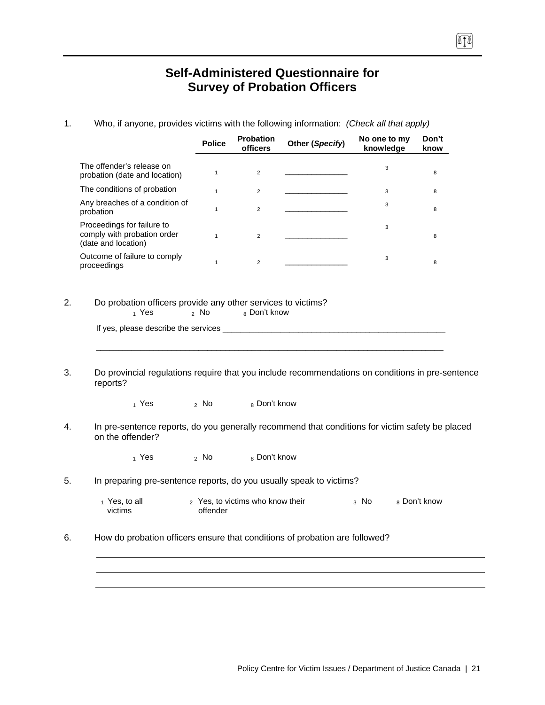## **Self-Administered Questionnaire for Survey of Probation Officers**

1. Who, if anyone, provides victims with the following information: *(Check all that apply)*

|                                                                                                                     | <b>Police</b> | Probation<br>officers | Other (Specify) | No one to my<br>knowledge | Don't<br>know |
|---------------------------------------------------------------------------------------------------------------------|---------------|-----------------------|-----------------|---------------------------|---------------|
| The offender's release on<br>probation (date and location)                                                          | $\mathbf{1}$  | $\overline{2}$        |                 | 3                         | 8             |
| The conditions of probation                                                                                         | $\mathbf{1}$  | $\overline{2}$        |                 | 3                         | 8             |
| Any breaches of a condition of<br>probation                                                                         | $\mathbf{1}$  | $\overline{2}$        |                 | 3                         | 8             |
| Proceedings for failure to<br>comply with probation order<br>(date and location)                                    | $\mathbf{1}$  | $\overline{2}$        |                 | 3                         | 8             |
| Outcome of failure to comply<br>proceedings                                                                         | $\mathbf{1}$  | $\overline{2}$        |                 | 3                         | 8             |
| Do probation officers provide any other services to victims?<br>$_1$ Yes                                            | $2$ No        | 8 Don't know          |                 |                           |               |
| Do provincial regulations require that you include recommendations on conditions in pre-sentence                    |               |                       |                 |                           |               |
| reports?<br>$_1$ Yes                                                                                                | $2$ No        | 8 Don't know          |                 |                           |               |
| In pre-sentence reports, do you generally recommend that conditions for victim safety be placed<br>on the offender? |               |                       |                 |                           |               |
| 1 Yes                                                                                                               | 2 NQ          | 8 Don't know          |                 |                           |               |
| In preparing pre-sentence reports, do you usually speak to victims?                                                 |               |                       |                 |                           |               |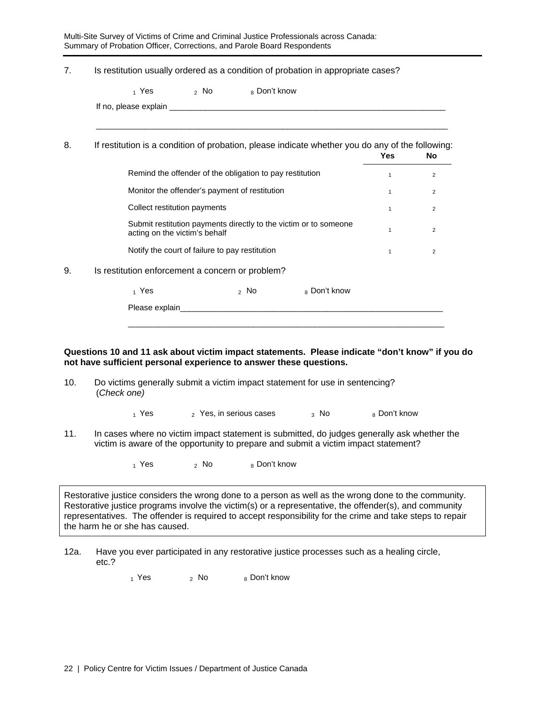Multi-Site Survey of Victims of Crime and Criminal Justice Professionals across Canada: Summary of Probation Officer, Corrections, and Parole Board Respondents

| 7.  | Is restitution usually ordered as a condition of probation in appropriate cases?                                                                                                   |                                                |                                                          |                                                                  |              |                |
|-----|------------------------------------------------------------------------------------------------------------------------------------------------------------------------------------|------------------------------------------------|----------------------------------------------------------|------------------------------------------------------------------|--------------|----------------|
|     | $_1$ Yes                                                                                                                                                                           | $2$ No                                         | 8 Don't know                                             |                                                                  |              |                |
|     |                                                                                                                                                                                    |                                                |                                                          |                                                                  |              |                |
| 8.  | If restitution is a condition of probation, please indicate whether you do any of the following:                                                                                   |                                                |                                                          |                                                                  | <b>Yes</b>   | No             |
|     |                                                                                                                                                                                    |                                                | Remind the offender of the obligation to pay restitution |                                                                  | 1            | $\overline{2}$ |
|     |                                                                                                                                                                                    | Monitor the offender's payment of restitution  |                                                          |                                                                  | $\mathbf{1}$ | $\overline{2}$ |
|     | Collect restitution payments                                                                                                                                                       |                                                |                                                          |                                                                  | $\mathbf{1}$ | $\overline{2}$ |
|     | acting on the victim's behalf                                                                                                                                                      |                                                |                                                          | Submit restitution payments directly to the victim or to someone | $\mathbf{1}$ | $\overline{2}$ |
|     |                                                                                                                                                                                    | Notify the court of failure to pay restitution |                                                          |                                                                  | $\mathbf{1}$ | $\overline{2}$ |
| 9.  | Is restitution enforcement a concern or problem?                                                                                                                                   |                                                |                                                          |                                                                  |              |                |
|     | 1 Yes                                                                                                                                                                              |                                                | $\sim$ No $\sim$                                         | 8 Don't know                                                     |              |                |
|     |                                                                                                                                                                                    |                                                |                                                          |                                                                  |              |                |
|     |                                                                                                                                                                                    |                                                |                                                          |                                                                  |              |                |
|     | Questions 10 and 11 ask about victim impact statements. Please indicate "don't know" if you do<br>not have sufficient personal experience to answer these questions.               |                                                |                                                          |                                                                  |              |                |
| 10. | Do victims generally submit a victim impact statement for use in sentencing?<br>(Check one)                                                                                        |                                                |                                                          |                                                                  |              |                |
|     | $_1$ Yes $\overline{\phantom{1}}$                                                                                                                                                  |                                                | 2 Yes, in serious cases                                  | $_3$ No $_3$                                                     | 8 Don't know |                |
| 11. | In cases where no victim impact statement is submitted, do judges generally ask whether the<br>victim is aware of the opportunity to prepare and submit a victim impact statement? |                                                |                                                          |                                                                  |              |                |

Restorative justice considers the wrong done to a person as well as the wrong done to the community. Restorative justice programs involve the victim(s) or a representative, the offender(s), and community representatives. The offender is required to accept responsibility for the crime and take steps to repair the harm he or she has caused.

12a. Have you ever participated in any restorative justice processes such as a healing circle, etc.?

 $_1$  Yes  $_2$  No  $_8$  Don't know

 $_1$  Yes  $_2$  No  $_8$  Don't know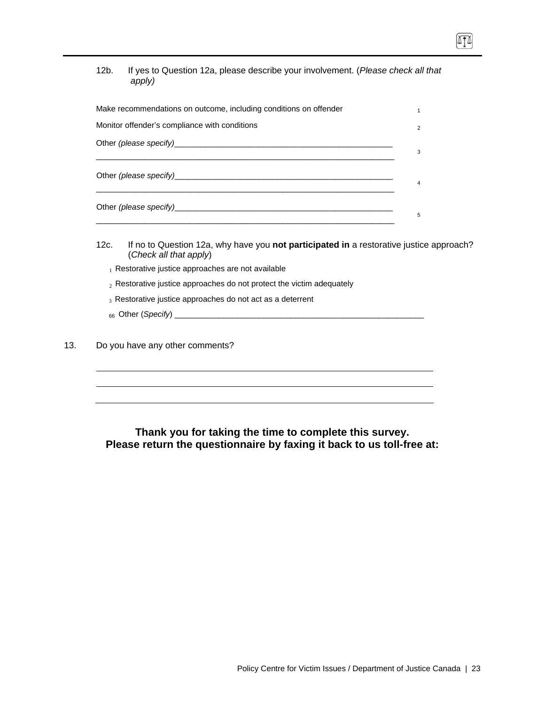| 12b. | If yes to Question 12a, please describe your involvement. (Please check all that |
|------|----------------------------------------------------------------------------------|
|      | apply)                                                                           |

TT

| Make recommendations on outcome, including conditions on offender |                |
|-------------------------------------------------------------------|----------------|
| Monitor offender's compliance with conditions                     | $\overline{2}$ |
|                                                                   | 3              |
|                                                                   | 4              |
|                                                                   | 5              |

- 12c. If no to Question 12a, why have you **not participated in** a restorative justice approach? (*Check all that apply*)
	- $<sub>1</sub>$  Restorative justice approaches are not available</sub>
	- $_2$  Restorative justice approaches do not protect the victim adequately
	- $_3$  Restorative justice approaches do not act as a deterrent
	- 66 Other (*Specify*) \_\_\_\_\_\_\_\_\_\_\_\_\_\_\_\_\_\_\_\_\_\_\_\_\_\_\_\_\_\_\_\_\_\_\_\_\_\_\_\_\_\_\_\_\_\_\_\_\_\_\_\_\_\_\_\_
- 13. Do you have any other comments?

## **Thank you for taking the time to complete this survey. Please return the questionnaire by faxing it back to us toll-free at:**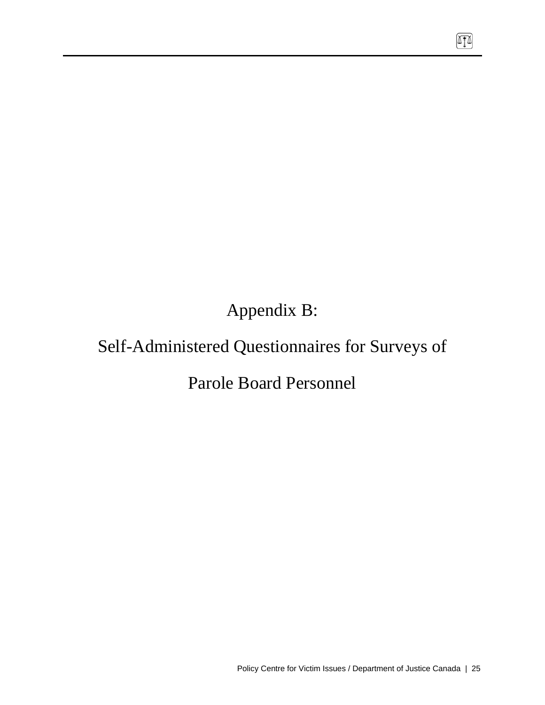Appendix B:

# Self-Administered Questionnaires for Surveys of

Parole Board Personnel

网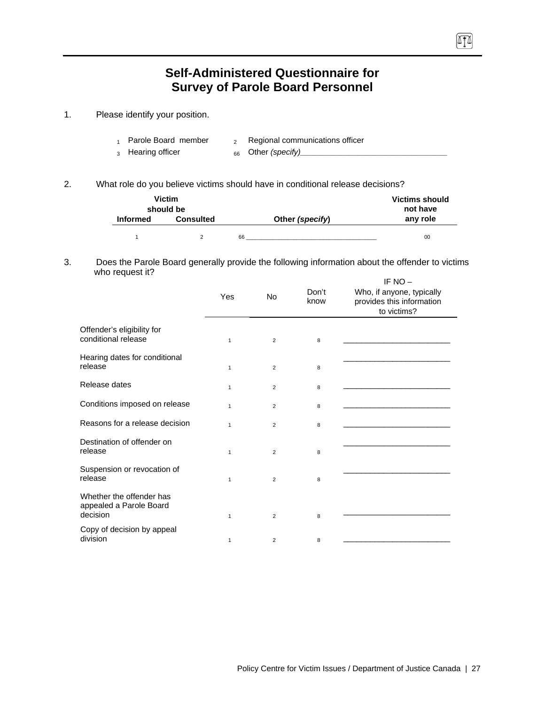# **Self-Administered Questionnaire for Survey of Parole Board Personnel**

 $\sqrt{10}$ 

1. Please identify your position.

| Parole Board member          | Regional communications officer |
|------------------------------|---------------------------------|
| <sub>3</sub> Hearing officer | 66 Other (specify)              |

2. What role do you believe victims should have in conditional release decisions?

|                 | <b>Victim</b><br>should be |                 | <b>Victims should</b><br>not have |
|-----------------|----------------------------|-----------------|-----------------------------------|
| <b>Informed</b> | <b>Consulted</b>           | Other (specify) | any role                          |
|                 |                            | 66              | 00                                |

#### 3. Does the Parole Board generally provide the following information about the offender to victims who request it?

|                                                                 | Yes          | No | Don't<br>know | IF $NO -$<br>Who, if anyone, typically<br>provides this information<br>to victims? |
|-----------------------------------------------------------------|--------------|----|---------------|------------------------------------------------------------------------------------|
| Offender's eligibility for<br>conditional release               | $\mathbf{1}$ | 2  | 8             |                                                                                    |
| Hearing dates for conditional<br>release                        | $\mathbf{1}$ | 2  | 8             |                                                                                    |
| Release dates                                                   | $\mathbf{1}$ | 2  | 8             |                                                                                    |
| Conditions imposed on release                                   | $\mathbf{1}$ | 2  | 8             |                                                                                    |
| Reasons for a release decision                                  | $\mathbf{1}$ | 2  | 8             |                                                                                    |
| Destination of offender on<br>release                           | 1            | 2  | 8             |                                                                                    |
| Suspension or revocation of<br>release                          | $\mathbf{1}$ | 2  | 8             |                                                                                    |
| Whether the offender has<br>appealed a Parole Board<br>decision | $\mathbf{1}$ | 2  | 8             |                                                                                    |
| Copy of decision by appeal<br>division                          | 1            | 2  | 8             |                                                                                    |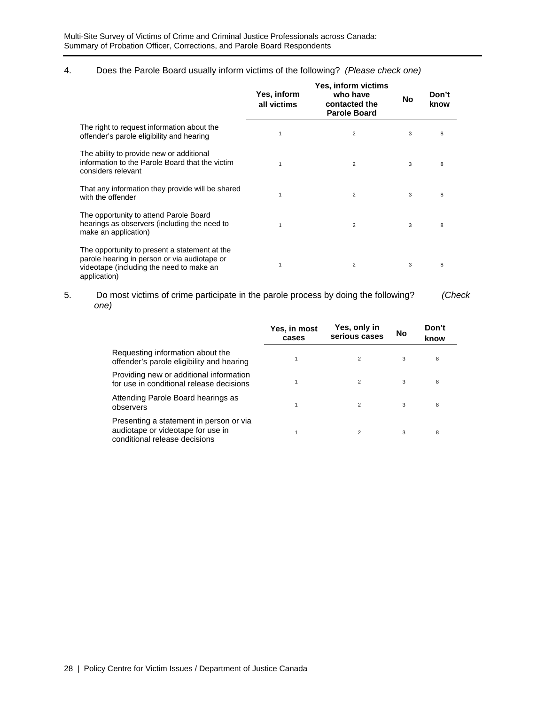### 4. Does the Parole Board usually inform victims of the following? *(Please check one)*

|                                                                                                                                                           | Yes, inform<br>all victims | <b>Yes, inform victims</b><br>who have<br>contacted the<br><b>Parole Board</b> | <b>No</b> | Don't<br>know |
|-----------------------------------------------------------------------------------------------------------------------------------------------------------|----------------------------|--------------------------------------------------------------------------------|-----------|---------------|
| The right to request information about the<br>offender's parole eligibility and hearing                                                                   | $\mathbf 1$                | 2                                                                              | 3         | 8             |
| The ability to provide new or additional<br>information to the Parole Board that the victim<br>considers relevant                                         |                            | $\overline{2}$                                                                 | 3         | 8             |
| That any information they provide will be shared<br>with the offender                                                                                     | 1                          | 2                                                                              | 3         | 8             |
| The opportunity to attend Parole Board<br>hearings as observers (including the need to<br>make an application)                                            | 1                          | $\overline{2}$                                                                 | 3         | 8             |
| The opportunity to present a statement at the<br>parole hearing in person or via audiotape or<br>videotape (including the need to make an<br>application) |                            | 2                                                                              | 3         | 8             |

5. Do most victims of crime participate in the parole process by doing the following? *(Check one)*

|                                                                                                               | Yes, in most<br>cases | Yes, only in<br>serious cases | No | Don't<br>know |
|---------------------------------------------------------------------------------------------------------------|-----------------------|-------------------------------|----|---------------|
| Requesting information about the<br>offender's parole eligibility and hearing                                 |                       | $\overline{2}$                | 3  | 8             |
| Providing new or additional information<br>for use in conditional release decisions                           |                       | $\overline{2}$                | 3  | 8             |
| Attending Parole Board hearings as<br>observers                                                               |                       | $\overline{2}$                | 3  | 8             |
| Presenting a statement in person or via<br>audiotape or videotape for use in<br>conditional release decisions |                       | $\overline{2}$                | 3  | 8             |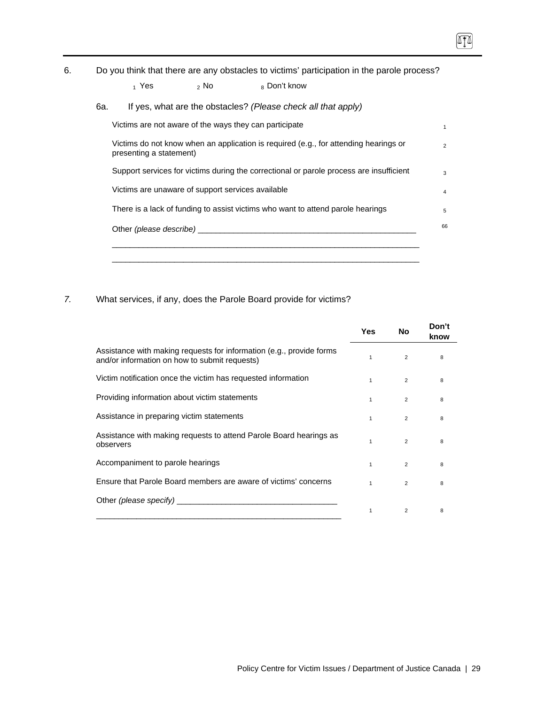6. Do you think that there are any obstacles to victims' participation in the parole process?

| 6a. |                                                   |                                     | If yes, what are the obstacles? (Please check all that apply)                           |
|-----|---------------------------------------------------|-------------------------------------|-----------------------------------------------------------------------------------------|
|     |                                                   |                                     | Victims are not aware of the ways they can participate                                  |
|     | presenting a statement)                           |                                     | Victims do not know when an application is required (e.g., for attending hearings or    |
|     |                                                   |                                     | Support services for victims during the correctional or parole process are insufficient |
|     | Victims are unaware of support services available |                                     |                                                                                         |
|     |                                                   |                                     | There is a lack of funding to assist victims who want to attend parole hearings         |
|     |                                                   | Other (please describe) ___________ |                                                                                         |

*7.* What services, if any, does the Parole Board provide for victims?

|                                                                                                                       | Yes          | No             | Don't<br>know |
|-----------------------------------------------------------------------------------------------------------------------|--------------|----------------|---------------|
| Assistance with making requests for information (e.g., provide forms<br>and/or information on how to submit requests) |              | $\overline{2}$ | 8             |
| Victim notification once the victim has requested information                                                         |              | $\overline{2}$ | 8             |
| Providing information about victim statements                                                                         | $\mathbf{1}$ | $\overline{2}$ | 8             |
| Assistance in preparing victim statements                                                                             | 1            | $\overline{2}$ | 8             |
| Assistance with making requests to attend Parole Board hearings as<br>observers                                       |              | $\overline{2}$ | 8             |
| Accompaniment to parole hearings                                                                                      | 1            | $\overline{2}$ | 8             |
| Ensure that Parole Board members are aware of victims' concerns                                                       |              | $\overline{2}$ | 8             |
|                                                                                                                       |              |                |               |
|                                                                                                                       | 1            | 2              | 8             |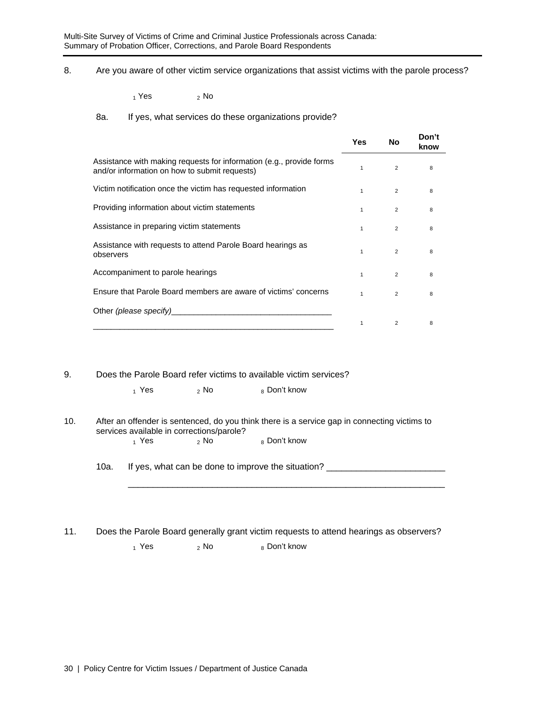8. Are you aware of other victim service organizations that assist victims with the parole process?

 $_1$  Yes  $_2$  No

#### 8a. If yes, what services do these organizations provide?

|                                                                                                                       | Yes          | No             | Don't<br>know |
|-----------------------------------------------------------------------------------------------------------------------|--------------|----------------|---------------|
| Assistance with making requests for information (e.g., provide forms<br>and/or information on how to submit requests) |              | 2              | 8             |
| Victim notification once the victim has requested information                                                         | $\mathbf{1}$ | 2              | 8             |
| Providing information about victim statements                                                                         |              | $\overline{2}$ | 8             |
| Assistance in preparing victim statements                                                                             | $\mathbf{1}$ | 2              | 8             |
| Assistance with requests to attend Parole Board hearings as<br>observers                                              |              | $\overline{2}$ | 8             |
| Accompaniment to parole hearings                                                                                      | $\mathbf{1}$ | 2              | 8             |
| Ensure that Parole Board members are aware of victims' concerns                                                       | 1            | $\overline{2}$ | 8             |
| Other (please specify)                                                                                                |              |                |               |
|                                                                                                                       |              | 2              | 8             |

#### 9. Does the Parole Board refer victims to available victim services?

 $_1$  Yes  $_2$  No  $_8$  Don't know

\_\_\_\_\_\_\_\_\_\_\_\_\_\_\_\_\_\_\_\_\_\_\_\_\_\_\_\_\_\_\_\_\_\_\_\_\_\_\_\_\_\_\_\_\_\_\_\_\_\_\_\_\_\_\_\_\_\_\_\_\_\_\_\_

#### 10. After an offender is sentenced, do you think there is a service gap in connecting victims to services available in corrections/parole?<br> $\frac{1}{1}$  Yes  $\frac{2}{1}$  No 8 Don't know

10a. If yes, what can be done to improve the situation? \_\_\_\_\_\_\_\_\_\_\_\_\_\_\_\_\_\_\_\_\_\_\_\_

11. Does the Parole Board generally grant victim requests to attend hearings as observers?

 $_1$  Yes  $_2$  No  $_8$  Don't know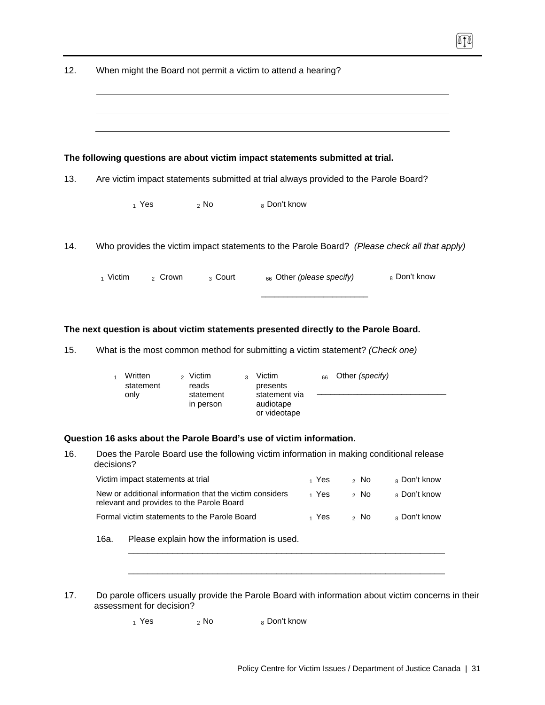|                     |                                   | The following questions are about victim impact statements submitted at trial.                                |                                            |          |                 |              |
|---------------------|-----------------------------------|---------------------------------------------------------------------------------------------------------------|--------------------------------------------|----------|-----------------|--------------|
| 13.                 |                                   | Are victim impact statements submitted at trial always provided to the Parole Board?                          |                                            |          |                 |              |
|                     | $_1$ Yes                          | $2$ No                                                                                                        | 8 Don't know                               |          |                 |              |
| 14.                 |                                   | Who provides the victim impact statements to the Parole Board? (Please check all that apply)                  |                                            |          |                 |              |
| $_1$ Victim         | <sub>2</sub> Crown                | <sub>3</sub> Court                                                                                            | 66 Other (please specify)                  |          |                 | 8 Don't know |
|                     |                                   |                                                                                                               |                                            |          |                 |              |
|                     |                                   | The next question is about victim statements presented directly to the Parole Board.                          |                                            |          |                 |              |
| 15.<br>$\mathbf{1}$ | Written<br>statement              | What is the most common method for submitting a victim statement? (Check one)<br><sub>2</sub> Victim<br>reads | Victim<br>$\overline{3}$<br>presents       | 66       | Other (specify) |              |
|                     | only                              | statement<br>in person                                                                                        | statement via<br>audiotape<br>or videotape |          |                 |              |
|                     |                                   | Question 16 asks about the Parole Board's use of victim information.                                          |                                            |          |                 |              |
| 16.<br>decisions?   |                                   | Does the Parole Board use the following victim information in making conditional release                      |                                            |          |                 |              |
|                     | Victim impact statements at trial |                                                                                                               |                                            | $_1$ Yes | $2$ No          | 8 Don't know |
|                     |                                   | New or additional information that the victim considers<br>relevant and provides to the Parole Board          |                                            | 1 Yes    | $2$ No          | 8 Don't know |
|                     |                                   | Formal victim statements to the Parole Board                                                                  |                                            | $_1$ Yes | $2$ No          | 8 Don't know |
| 16a.                |                                   | Please explain how the information is used.                                                                   |                                            |          |                 |              |
|                     |                                   |                                                                                                               |                                            |          |                 |              |

 $_1$  Yes  $_2$  No  $_8$  Don't know

 $\sqrt{11}$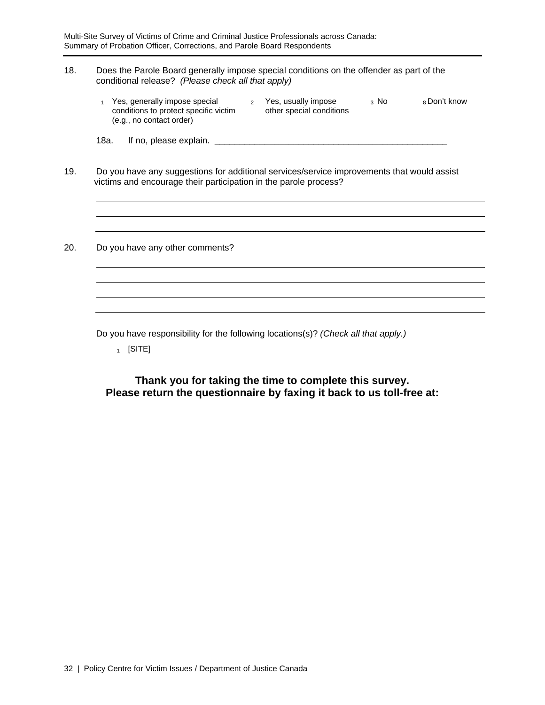### 18. Does the Parole Board generally impose special conditions on the offender as part of the conditional release? *(Please check all that apply)*

| Yes, generally impose special         | Yes, usually impose      | 3 NO | ∍ Don't know |
|---------------------------------------|--------------------------|------|--------------|
| conditions to protect specific victim | other special conditions |      |              |
| (e.g., no contact order)              |                          |      |              |

18a. If no, please explain. \_\_\_\_\_\_\_\_\_\_\_\_\_\_\_\_\_\_\_\_\_\_\_\_\_\_\_\_\_\_\_\_\_\_\_\_\_\_\_\_\_\_\_\_\_\_\_

19. Do you have any suggestions for additional services/service improvements that would assist victims and encourage their participation in the parole process?

20. Do you have any other comments?

Do you have responsibility for the following locations(s)? *(Check all that apply.)* 

 $1$  [SITE]

**Thank you for taking the time to complete this survey. Please return the questionnaire by faxing it back to us toll-free at:**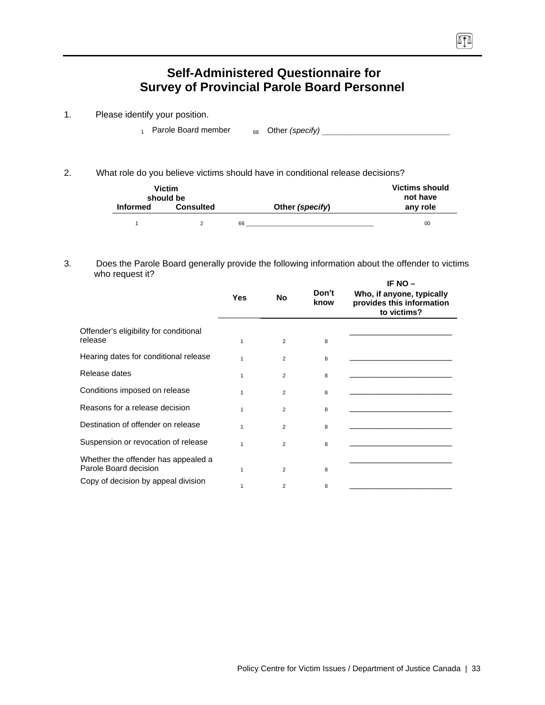# **Self-Administered Questionnaire for Survey of Provincial Parole Board Personnel**

- 1. Please identify your position.
	- 1 Parole Board member 66 Other *(specify)* \_\_\_\_\_\_\_\_\_\_\_\_\_\_\_\_\_\_\_\_\_\_\_\_\_\_\_\_\_\_\_\_\_\_\_\_\_\_\_\_\_\_\_

 $\sqrt{10}$ 

2. What role do you believe victims should have in conditional release decisions?

|                 | <b>Victim</b><br>should be |                 | <b>Victims should</b><br>not have |
|-----------------|----------------------------|-----------------|-----------------------------------|
| <b>Informed</b> | <b>Consulted</b>           | Other (specify) | any role                          |
|                 |                            | 66              | 00                                |

#### 3. Does the Parole Board generally provide the following information about the offender to victims who request it? **IF NO –**

|     |                |               | IF NU $-$                                                             |  |  |
|-----|----------------|---------------|-----------------------------------------------------------------------|--|--|
| Yes | <b>No</b>      | Don't<br>know | Who, if anyone, typically<br>provides this information<br>to victims? |  |  |
| 1   | $\overline{2}$ | 8             |                                                                       |  |  |
| 1   | $\overline{2}$ | 8             |                                                                       |  |  |
| 1   | $\overline{2}$ | 8             |                                                                       |  |  |
| 1   | $\overline{2}$ | 8             |                                                                       |  |  |
| 1   | $\overline{2}$ | 8             |                                                                       |  |  |
| 1   | $\overline{2}$ | 8             |                                                                       |  |  |
| 1   | $\overline{2}$ | 8             |                                                                       |  |  |
| 1   | $\overline{2}$ | 8             |                                                                       |  |  |
|     | $\overline{2}$ | 8             |                                                                       |  |  |
|     |                |               |                                                                       |  |  |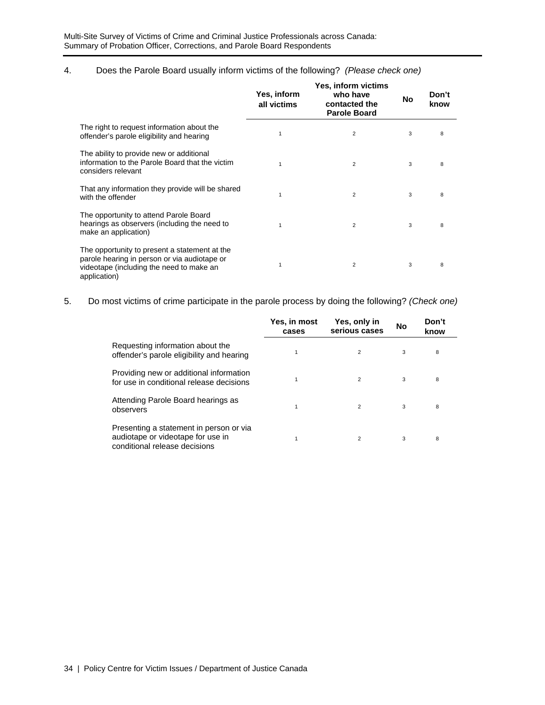### 4. Does the Parole Board usually inform victims of the following? *(Please check one)*

|                                                                                                                                                           | Yes, inform<br>all victims | <b>Yes, inform victims</b><br>who have<br>contacted the<br><b>Parole Board</b> | No | Don't<br>know |  |
|-----------------------------------------------------------------------------------------------------------------------------------------------------------|----------------------------|--------------------------------------------------------------------------------|----|---------------|--|
| The right to request information about the<br>offender's parole eligibility and hearing                                                                   |                            | $\overline{2}$                                                                 | 3  | 8             |  |
| The ability to provide new or additional<br>information to the Parole Board that the victim<br>considers relevant                                         |                            | $\overline{2}$                                                                 | 3  | 8             |  |
| That any information they provide will be shared<br>with the offender                                                                                     |                            | 2                                                                              | 3  | 8             |  |
| The opportunity to attend Parole Board<br>hearings as observers (including the need to<br>make an application)                                            |                            | $\overline{2}$                                                                 | 3  | 8             |  |
| The opportunity to present a statement at the<br>parole hearing in person or via audiotape or<br>videotape (including the need to make an<br>application) |                            | $\overline{2}$                                                                 | 3  | 8             |  |

5. Do most victims of crime participate in the parole process by doing the following? *(Check one)*

|                                                                                                               | Yes, in most<br>cases | Yes, only in<br>serious cases | <b>No</b> | Don't<br>know |  |
|---------------------------------------------------------------------------------------------------------------|-----------------------|-------------------------------|-----------|---------------|--|
| Requesting information about the<br>offender's parole eligibility and hearing                                 | 1                     | 2                             | 3         | 8             |  |
| Providing new or additional information<br>for use in conditional release decisions                           |                       | 2                             | 3         | 8             |  |
| Attending Parole Board hearings as<br>observers                                                               |                       | 2                             | 3         | 8             |  |
| Presenting a statement in person or via<br>audiotape or videotape for use in<br>conditional release decisions |                       | $\overline{2}$                | 3         | 8             |  |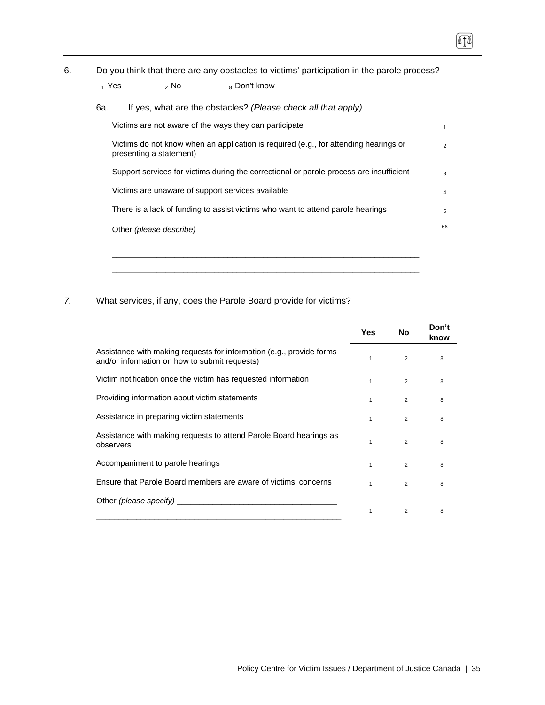$\boxed{1}$ 

| 1 Yes<br>6a. | $2$ No                  | 8 Don't know<br>If yes, what are the obstacles? (Please check all that apply)           |
|--------------|-------------------------|-----------------------------------------------------------------------------------------|
|              |                         | Victims are not aware of the ways they can participate                                  |
|              | presenting a statement) | Victims do not know when an application is required (e.g., for attending hearings or    |
|              |                         | Support services for victims during the correctional or parole process are insufficient |
|              |                         | Victims are unaware of support services available                                       |
|              |                         | There is a lack of funding to assist victims who want to attend parole hearings         |
|              | Other (please describe) |                                                                                         |

*7.* What services, if any, does the Parole Board provide for victims?

|                                                                                                                       | Yes | No             | Don't<br>know |
|-----------------------------------------------------------------------------------------------------------------------|-----|----------------|---------------|
| Assistance with making requests for information (e.g., provide forms<br>and/or information on how to submit requests) |     | 2              | 8             |
| Victim notification once the victim has requested information                                                         | 1   | $\overline{2}$ | 8             |
| Providing information about victim statements                                                                         |     | 2              | 8             |
| Assistance in preparing victim statements                                                                             | 1   | $\overline{2}$ | 8             |
| Assistance with making requests to attend Parole Board hearings as<br>observers                                       |     | $\overline{2}$ | 8             |
| Accompaniment to parole hearings                                                                                      | 1   | $\overline{2}$ | 8             |
| Ensure that Parole Board members are aware of victims' concerns                                                       |     | $\mathfrak{p}$ | 8             |
| Other (please specify)                                                                                                |     |                |               |
|                                                                                                                       | 1   | 2              | 8             |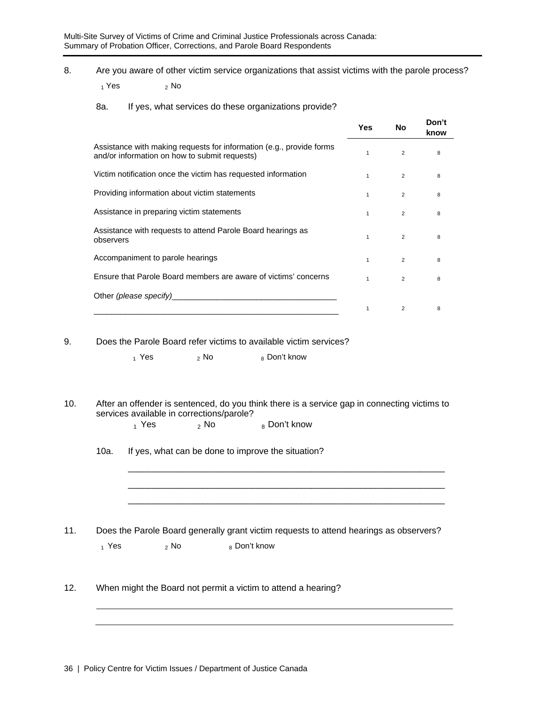8. Are you aware of other victim service organizations that assist victims with the parole process?

 $1$  Yes  $2$  No

8a. If yes, what services do these organizations provide?

|                                                                                                                                                                                                                                | <b>Yes</b>   | No             | Don't<br>know |
|--------------------------------------------------------------------------------------------------------------------------------------------------------------------------------------------------------------------------------|--------------|----------------|---------------|
| Assistance with making requests for information (e.g., provide forms<br>and/or information on how to submit requests)                                                                                                          | $\mathbf{1}$ | $\overline{2}$ | 8             |
| Victim notification once the victim has requested information                                                                                                                                                                  | $\mathbf{1}$ | 2              | 8             |
| Providing information about victim statements                                                                                                                                                                                  | $\mathbf{1}$ | $\overline{2}$ | 8             |
| Assistance in preparing victim statements                                                                                                                                                                                      | $\mathbf{1}$ | 2              | 8             |
| Assistance with requests to attend Parole Board hearings as<br>observers                                                                                                                                                       | $\mathbf{1}$ | $\overline{2}$ | 8             |
| Accompaniment to parole hearings                                                                                                                                                                                               | $\mathbf{1}$ | 2              | 8             |
| Ensure that Parole Board members are aware of victims' concerns                                                                                                                                                                | $\mathbf{1}$ | $\overline{2}$ | 8             |
| Other (please specify) example the contract of the contract of the contract of the contract of the contract of the contract of the contract of the contract of the contract of the contract of the contract of the contract of |              |                |               |
|                                                                                                                                                                                                                                | 1            | 2              | 8             |

9. Does the Parole Board refer victims to available victim services?

 $_1$  Yes  $_2$  No  $_8$  Don't know

10. After an offender is sentenced, do you think there is a service gap in connecting victims to services available in corrections/parole?

> \_\_\_\_\_\_\_\_\_\_\_\_\_\_\_\_\_\_\_\_\_\_\_\_\_\_\_\_\_\_\_\_\_\_\_\_\_\_\_\_\_\_\_\_\_\_\_\_\_\_\_\_\_\_\_\_\_\_\_\_\_\_\_\_ \_\_\_\_\_\_\_\_\_\_\_\_\_\_\_\_\_\_\_\_\_\_\_\_\_\_\_\_\_\_\_\_\_\_\_\_\_\_\_\_\_\_\_\_\_\_\_\_\_\_\_\_\_\_\_\_\_\_\_\_\_\_\_\_ \_\_\_\_\_\_\_\_\_\_\_\_\_\_\_\_\_\_\_\_\_\_\_\_\_\_\_\_\_\_\_\_\_\_\_\_\_\_\_\_\_\_\_\_\_\_\_\_\_\_\_\_\_\_\_\_\_\_\_\_\_\_\_\_

 $_1$  Yes  $_2$  No  $_8$  Don't know

10a. If yes, what can be done to improve the situation?

11. Does the Parole Board generally grant victim requests to attend hearings as observers?  $_1$  Yes  $_2$  No  $_8$  Don't know

12. When might the Board not permit a victim to attend a hearing?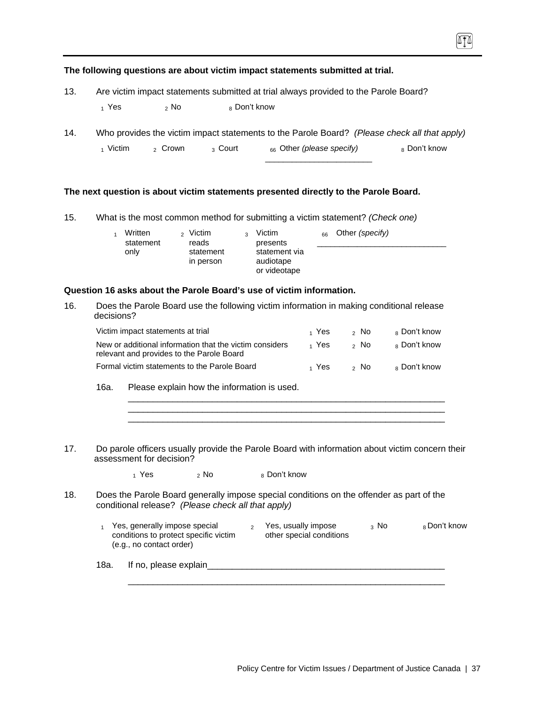|     |        |                    |                         | The following questions are about victim impact statements submitted at trial.               |              |
|-----|--------|--------------------|-------------------------|----------------------------------------------------------------------------------------------|--------------|
| 13. |        |                    |                         | Are victim impact statements submitted at trial always provided to the Parole Board?         |              |
|     | 1 Yes  | ,No                | <sub>8</sub> Don't know |                                                                                              |              |
| 14. |        |                    |                         | Who provides the victim impact statements to the Parole Board? (Please check all that apply) |              |
|     | Victim | <sub>2</sub> Crown | <sub>3</sub> Court      | 66 Other (please specify)                                                                    | 8 Don't know |

**The next question is about victim statements presented directly to the Parole Board.** 

15. What is the most common method for submitting a victim statement? *(Check one)*

| Written<br>statement<br>only | Other <i>(specify)</i><br>Victim<br>Victim<br>$\sim$<br>66<br>$\mathbf{r}$<br>reads<br>presents<br>statement via<br>statement<br>audiotape<br>in person<br>or videotape |  |
|------------------------------|-------------------------------------------------------------------------------------------------------------------------------------------------------------------------|--|
|                              |                                                                                                                                                                         |  |

\_\_\_\_\_\_\_\_\_\_\_\_\_\_\_\_\_\_\_\_\_\_\_\_

#### **Question 16 asks about the Parole Board's use of victim information.**

16. Does the Parole Board use the following victim information in making conditional release decisions?

| Victim impact statements at trial                                                                    | 1 Yes            | ⇒ No | <sub>8</sub> Don't know |
|------------------------------------------------------------------------------------------------------|------------------|------|-------------------------|
| New or additional information that the victim considers<br>relevant and provides to the Parole Board | 1 Yes            | ⇒ No | 8 Don't know            |
| Formal victim statements to the Parole Board                                                         | <sub>1</sub> Yes | ⇒ No | 8 Don't know            |

\_\_\_\_\_\_\_\_\_\_\_\_\_\_\_\_\_\_\_\_\_\_\_\_\_\_\_\_\_\_\_\_\_\_\_\_\_\_\_\_\_\_\_\_\_\_\_\_\_\_\_\_\_\_\_\_\_\_\_\_\_\_\_\_ \_\_\_\_\_\_\_\_\_\_\_\_\_\_\_\_\_\_\_\_\_\_\_\_\_\_\_\_\_\_\_\_\_\_\_\_\_\_\_\_\_\_\_\_\_\_\_\_\_\_\_\_\_\_\_\_\_\_\_\_\_\_\_\_ \_\_\_\_\_\_\_\_\_\_\_\_\_\_\_\_\_\_\_\_\_\_\_\_\_\_\_\_\_\_\_\_\_\_\_\_\_\_\_\_\_\_\_\_\_\_\_\_\_\_\_\_\_\_\_\_\_\_\_\_\_\_\_\_

- 16a. Please explain how the information is used.
- 17. Do parole officers usually provide the Parole Board with information about victim concern their assessment for decision?

 $_1$  Yes  $_2$  No  $_8$  Don't know

- 18. Does the Parole Board generally impose special conditions on the offender as part of the conditional release? *(Please check all that apply)* 
	- 1 Yes, generally impose special conditions to protect specific victim (e.g., no contact order) 2 Yes, usually impose other special conditions  $3 \text{ No}$   $8 \text{ Don't know}$

\_\_\_\_\_\_\_\_\_\_\_\_\_\_\_\_\_\_\_\_\_\_\_\_\_\_\_\_\_\_\_\_\_\_\_\_\_\_\_\_\_\_\_\_\_\_\_\_\_\_\_\_\_\_\_\_\_\_\_\_\_\_\_\_

18a. If no, please explain\_\_\_\_\_\_\_\_\_\_\_\_\_\_\_\_\_\_\_\_\_\_\_\_\_\_\_\_\_\_\_\_\_\_\_\_\_\_\_\_\_\_\_\_\_\_\_\_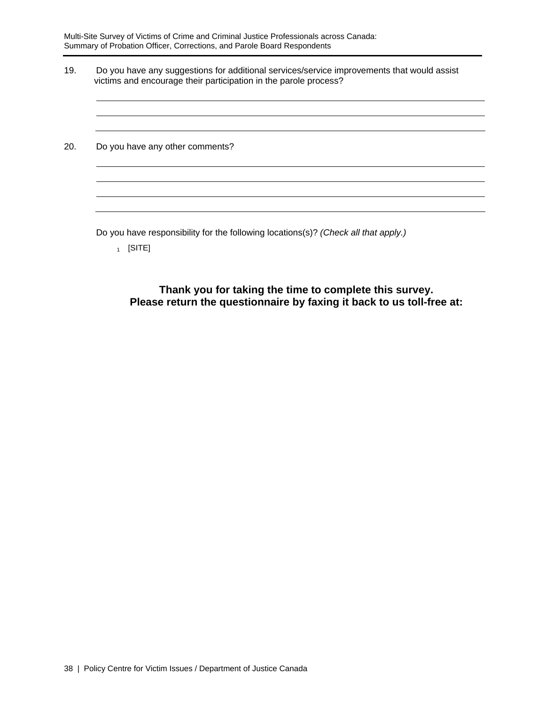19. Do you have any suggestions for additional services/service improvements that would assist victims and encourage their participation in the parole process?

20. Do you have any other comments?

Do you have responsibility for the following locations(s)? *(Check all that apply.)* 

 $_1$  [SITE]

**Thank you for taking the time to complete this survey. Please return the questionnaire by faxing it back to us toll-free at:**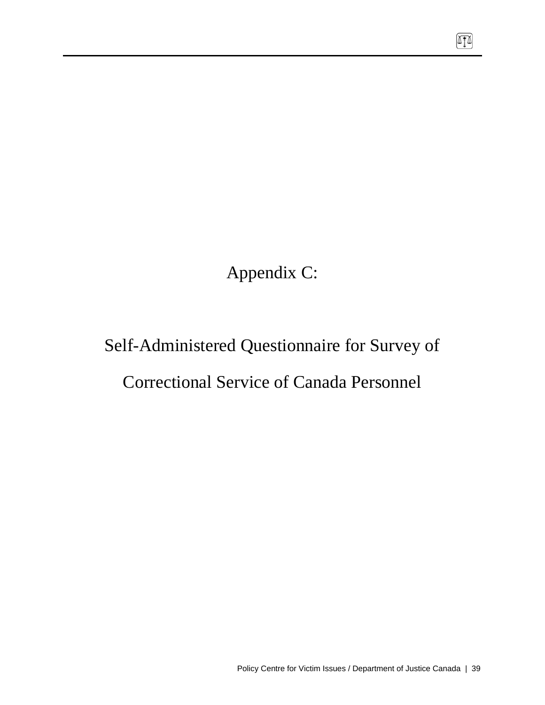Appendix C:

# Self-Administered Questionnaire for Survey of

# Correctional Service of Canada Personnel

网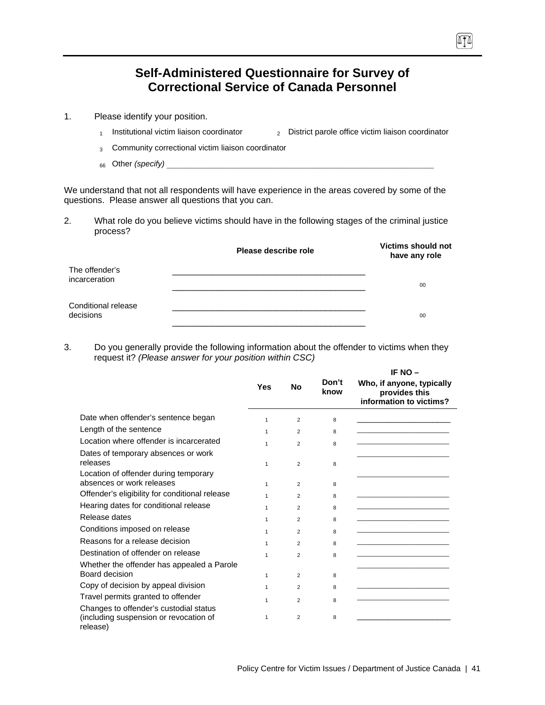## **Self-Administered Questionnaire for Survey of Correctional Service of Canada Personnel**

- 1. Please identify your position.
	- 1 Institutional victim liaison coordinator  $\qquad \qquad$  District parole office victim liaison coordinator
	- 3 Community correctional victim liaison coordinator
	- 66 Other *(specify)*

We understand that not all respondents will have experience in the areas covered by some of the questions. Please answer all questions that you can.

2. What role do you believe victims should have in the following stages of the criminal justice process?

|                                  | Please describe role | <b>Victims should not</b><br>have any role |
|----------------------------------|----------------------|--------------------------------------------|
| The offender's<br>incarceration  |                      | 00                                         |
| Conditional release<br>decisions |                      | 00                                         |

3. Do you generally provide the following information about the offender to victims when they request it? *(Please answer for your position within CSC)*

|                                                                    |              |                |               | IF NO -                                                               |
|--------------------------------------------------------------------|--------------|----------------|---------------|-----------------------------------------------------------------------|
|                                                                    | Yes          | No             | Don't<br>know | Who, if anyone, typically<br>provides this<br>information to victims? |
| Date when offender's sentence began                                | $\mathbf{1}$ | $\overline{2}$ | 8             |                                                                       |
| Length of the sentence                                             | $\mathbf{1}$ | $\overline{2}$ | 8             |                                                                       |
| Location where offender is incarcerated                            | $\mathbf{1}$ | $\overline{2}$ | 8             |                                                                       |
| Dates of temporary absences or work<br>releases                    |              |                |               |                                                                       |
|                                                                    | $\mathbf{1}$ | $\overline{2}$ | 8             |                                                                       |
| Location of offender during temporary<br>absences or work releases | $\mathbf{1}$ | $\overline{2}$ | 8             |                                                                       |
| Offender's eligibility for conditional release                     | $\mathbf{1}$ | $\overline{2}$ | 8             |                                                                       |
| Hearing dates for conditional release                              | $\mathbf{1}$ | $\overline{2}$ | 8             |                                                                       |
| Release dates                                                      | 1            | $\overline{2}$ | 8             |                                                                       |
| Conditions imposed on release                                      | 1            | $\overline{2}$ | 8             |                                                                       |
| Reasons for a release decision                                     | 1            | $\mathfrak{p}$ | 8             |                                                                       |
| Destination of offender on release                                 | $\mathbf{1}$ | $\overline{2}$ | 8             |                                                                       |
| Whether the offender has appealed a Parole                         |              |                |               |                                                                       |
| Board decision                                                     | $\mathbf{1}$ | $\overline{2}$ | 8             |                                                                       |
| Copy of decision by appeal division                                | 1            | 2              | 8             |                                                                       |
| Travel permits granted to offender                                 | $\mathbf{1}$ | $\overline{2}$ | 8             |                                                                       |
| Changes to offender's custodial status                             |              |                |               |                                                                       |
| (including suspension or revocation of<br>release)                 | 1            | $\overline{2}$ | 8             |                                                                       |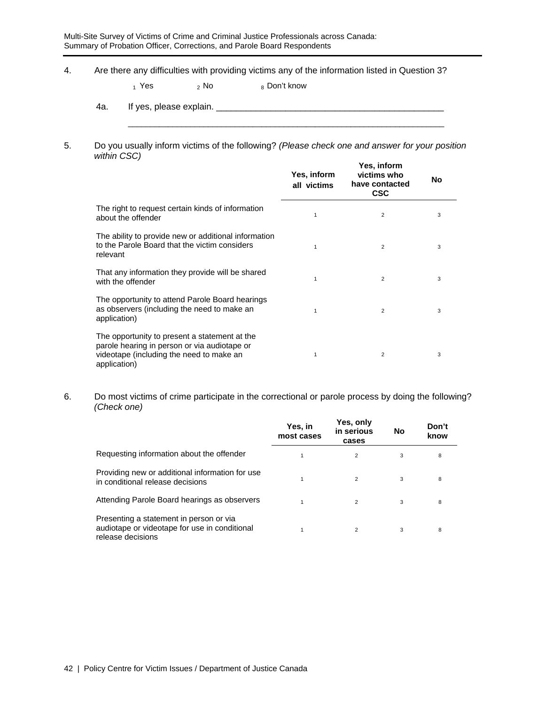4. Are there any difficulties with providing victims any of the information listed in Question 3?

 $_1$  Yes  $_2$  No  $_8$  Don't know

4a. If yes, please explain. \_\_\_\_\_\_\_\_\_\_\_\_\_\_\_\_\_\_\_\_\_\_\_\_\_\_\_\_\_\_\_\_\_\_\_\_\_\_\_\_\_\_\_\_\_\_

#### 5. Do you usually inform victims of the following? *(Please check one and answer for your position within CSC)* **Yes, inform**

\_\_\_\_\_\_\_\_\_\_\_\_\_\_\_\_\_\_\_\_\_\_\_\_\_\_\_\_\_\_\_\_\_\_\_\_\_\_\_\_\_\_\_\_\_\_\_\_\_\_\_\_\_\_\_\_\_\_\_\_\_\_\_\_\_\_\_\_\_\_\_

|                                                                                                                                                           | Yes, inform<br>all victims | res, inform<br>victims who<br>have contacted<br><b>CSC</b> | No |
|-----------------------------------------------------------------------------------------------------------------------------------------------------------|----------------------------|------------------------------------------------------------|----|
| The right to request certain kinds of information<br>about the offender                                                                                   | 1                          | $\overline{2}$                                             | 3  |
| The ability to provide new or additional information<br>to the Parole Board that the victim considers<br>relevant                                         | 1                          | $\overline{2}$                                             | 3  |
| That any information they provide will be shared<br>with the offender                                                                                     | 1                          | $\overline{2}$                                             | 3  |
| The opportunity to attend Parole Board hearings<br>as observers (including the need to make an<br>application)                                            | 1                          | $\overline{2}$                                             | 3  |
| The opportunity to present a statement at the<br>parole hearing in person or via audiotape or<br>videotape (including the need to make an<br>application) | 1                          | 2                                                          | 3  |

#### 6. Do most victims of crime participate in the correctional or parole process by doing the following? *(Check one)*

|                                                                                                               | Yes, in<br>most cases | Yes, only<br>in serious<br>cases | No | Don't<br>know |
|---------------------------------------------------------------------------------------------------------------|-----------------------|----------------------------------|----|---------------|
| Requesting information about the offender                                                                     |                       | 2                                | 3  | 8             |
| Providing new or additional information for use<br>in conditional release decisions                           |                       | 2                                | 3  | 8             |
| Attending Parole Board hearings as observers                                                                  |                       | 2                                | 3  | 8             |
| Presenting a statement in person or via<br>audiotape or videotape for use in conditional<br>release decisions |                       | 2                                | 3  | 8             |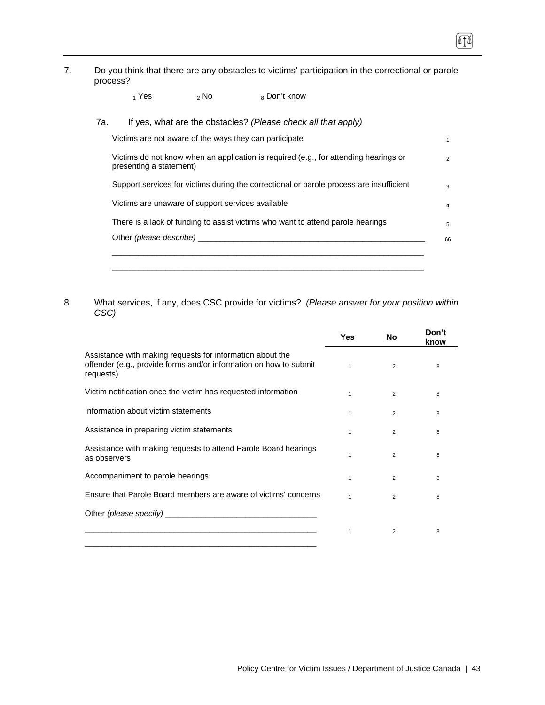7. Do you think that there are any obstacles to victims' participation in the correctional or parole process?

 $\sqrt{10}$ 

 $_1$  Yes  $_2$  No  $_8$  Don't know

| Victims do not know when an application is required (e.g., for attending hearings or<br>presenting a statement) |
|-----------------------------------------------------------------------------------------------------------------|
| Support services for victims during the correctional or parole process are insufficient                         |
| Victims are unaware of support services available                                                               |
| There is a lack of funding to assist victims who want to attend parole hearings                                 |
| Other (please describe)                                                                                         |

8. What services, if any, does CSC provide for victims? *(Please answer for your position within CSC)*

|                                                                                                                                                                                                                                | Yes          | <b>No</b>      | Don't<br>know |
|--------------------------------------------------------------------------------------------------------------------------------------------------------------------------------------------------------------------------------|--------------|----------------|---------------|
| Assistance with making requests for information about the<br>offender (e.g., provide forms and/or information on how to submit<br>requests)                                                                                    | $\mathbf{1}$ | $\overline{2}$ | 8             |
| Victim notification once the victim has requested information                                                                                                                                                                  | 1            | $\overline{2}$ | 8             |
| Information about victim statements                                                                                                                                                                                            | 1            | $\overline{2}$ | 8             |
| Assistance in preparing victim statements                                                                                                                                                                                      | 1            | 2              | 8             |
| Assistance with making requests to attend Parole Board hearings<br>as observers                                                                                                                                                | $\mathbf{1}$ | $\overline{2}$ | 8             |
| Accompaniment to parole hearings                                                                                                                                                                                               | 1            | $\overline{2}$ | 8             |
| Ensure that Parole Board members are aware of victims' concerns                                                                                                                                                                | $\mathbf{1}$ | $\overline{2}$ | 8             |
| Other (please specify) example and the contract of the contract of the contract of the contract of the contract of the contract of the contract of the contract of the contract of the contract of the contract of the contrac |              |                |               |
| <u> 1989 - Johann John Stein, markin sanat masjid a shekara ta 1989 - An tsarat masjid a shekara ta 1989 - An tsa</u>                                                                                                          | 1            | 2              | 8             |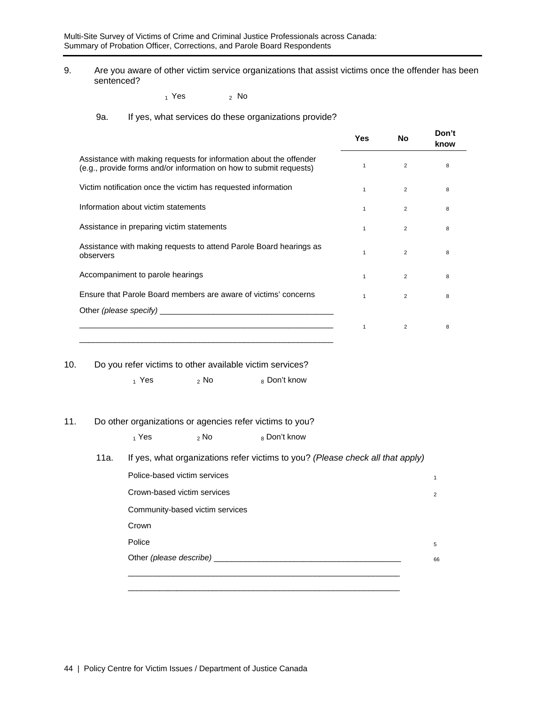9. Are you aware of other victim service organizations that assist victims once the offender has been sentenced?

 $_1$  Yes  $_2$  No

### 9a. If yes, what services do these organizations provide?

|                                                                                                                                          | Yes          | No             | Don't<br>know |
|------------------------------------------------------------------------------------------------------------------------------------------|--------------|----------------|---------------|
| Assistance with making requests for information about the offender<br>(e.g., provide forms and/or information on how to submit requests) | $\mathbf{1}$ | 2              | 8             |
| Victim notification once the victim has requested information                                                                            | $\mathbf{1}$ | $\overline{2}$ | 8             |
| Information about victim statements                                                                                                      | $\mathbf{1}$ | $\mathcal{P}$  | 8             |
| Assistance in preparing victim statements                                                                                                | $\mathbf{1}$ | 2              | 8             |
| Assistance with making requests to attend Parole Board hearings as<br>observers                                                          | 1            | $\overline{2}$ | 8             |
| Accompaniment to parole hearings                                                                                                         | $\mathbf{1}$ | $\overline{2}$ | 8             |
| Ensure that Parole Board members are aware of victims' concerns                                                                          | $\mathbf{1}$ | $\overline{2}$ | 8             |
|                                                                                                                                          |              |                |               |
| <u> 1989 - Johann Stein, marwolaethau a bhann an t-Amhain an t-Amhain an t-Amhain an t-Amhain an t-Amhain an t-A</u>                     | $\mathbf{1}$ | $\overline{2}$ | 8             |

10. Do you refer victims to other available victim services?

 $_1$  Yes  $_2$  No  $_8$  Don't know

#### 11. Do other organizations or agencies refer victims to you?

|      | $_1$ Yes                        | $\frac{1}{2}$ No | <sub>8</sub> Don't know |                                                                                |                |
|------|---------------------------------|------------------|-------------------------|--------------------------------------------------------------------------------|----------------|
| 11a. |                                 |                  |                         | If yes, what organizations refer victims to you? (Please check all that apply) |                |
|      | Police-based victim services    |                  |                         |                                                                                | 1              |
|      | Crown-based victim services     |                  |                         |                                                                                | $\overline{2}$ |
|      | Community-based victim services |                  |                         |                                                                                |                |
|      | Crown                           |                  |                         |                                                                                |                |
|      | Police                          |                  |                         |                                                                                | 5              |
|      | Other (please describe) ___     |                  |                         |                                                                                | 66             |
|      |                                 |                  |                         |                                                                                |                |
|      |                                 |                  |                         |                                                                                |                |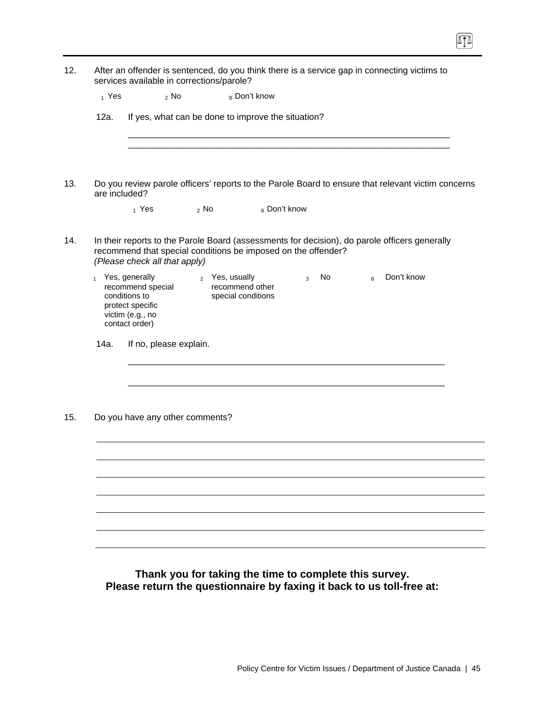| $_1$ Yes      | $2$ No                                                                                                           |        | 8 Don't know                                            |              |      |   |                                                                                                    |
|---------------|------------------------------------------------------------------------------------------------------------------|--------|---------------------------------------------------------|--------------|------|---|----------------------------------------------------------------------------------------------------|
| 12a.          | If yes, what can be done to improve the situation?                                                               |        |                                                         |              |      |   |                                                                                                    |
|               |                                                                                                                  |        |                                                         |              |      |   |                                                                                                    |
| are included? |                                                                                                                  |        |                                                         |              |      |   | Do you review parole officers' reports to the Parole Board to ensure that relevant victim concerns |
|               | $_1$ Yes                                                                                                         | $2$ No |                                                         | 8 Don't know |      |   |                                                                                                    |
|               | recommend that special conditions be imposed on the offender?<br>(Please check all that apply)                   |        |                                                         |              |      |   | In their reports to the Parole Board (assessments for decision), do parole officers generally      |
|               | 1 Yes, generally<br>recommend special<br>conditions to<br>protect specific<br>victim (e.g., no<br>contact order) |        | 2 Yes, usually<br>recommend other<br>special conditions | $\mathbf{3}$ | No l | 8 | Don't know                                                                                         |
| 14a.          | If no, please explain.                                                                                           |        |                                                         |              |      |   |                                                                                                    |
|               |                                                                                                                  |        |                                                         |              |      |   |                                                                                                    |
|               |                                                                                                                  |        |                                                         |              |      |   |                                                                                                    |
|               | Do you have any other comments?                                                                                  |        |                                                         |              |      |   |                                                                                                    |
|               |                                                                                                                  |        |                                                         |              |      |   |                                                                                                    |
|               |                                                                                                                  |        |                                                         |              |      |   |                                                                                                    |
|               |                                                                                                                  |        |                                                         |              |      |   |                                                                                                    |
|               |                                                                                                                  |        |                                                         |              |      |   |                                                                                                    |
|               |                                                                                                                  |        |                                                         |              |      |   |                                                                                                    |

**Please return the questionnaire by faxing it back to us toll-free at:**

 $\boxed{1}$